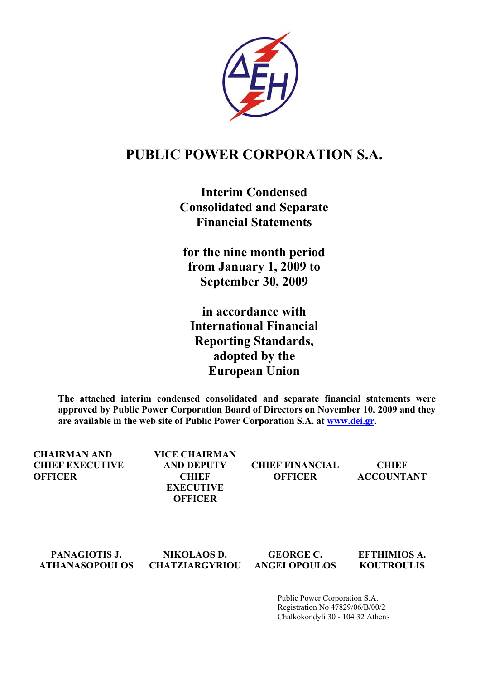

# **PUBLIC POWER CORPORATION S.A.**

**Interim Condensed Consolidated and Separate Financial Statements** 

**for the nine month period from January 1, 2009 to September 30, 2009** 

**in accordance with International Financial Reporting Standards, adopted by the European Union** 

**The attached interim condensed consolidated and separate financial statements were approved by Public Power Corporation Board of Directors on November 10, 2009 and they are available in the web site of Public Power Corporation S.A. at [www.dei.gr.](http://www.dei.gr/)** 

**CHAIRMAN AND CHIEF EXECUTIVE OFFICER VICE CHAIRMAN AND DEPUTY CHIEF CHIEF FINANCIAL OFFICER CHIEF ACCOUNTANT EXECUTIVE OFFICER** 

**PANAGIOTIS J. ATHANASOPOULOS NIKOLAOS D. CHATZIARGYRIOU GEORGE C. ANGELOPOULOS EFTHIMIOS Α. KOUTROULIS** 

> Public Power Corporation S.A. Registration No 47829/06/Β/00/2 Chalkokondyli 30 - 104 32 Athens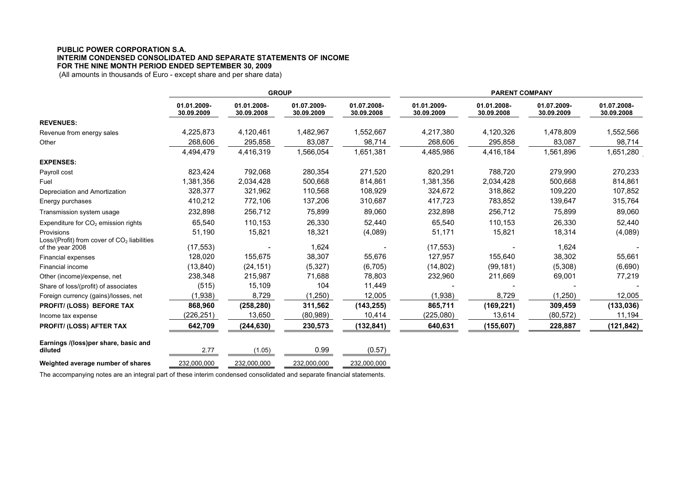### **PUBLIC POWER CORPORATION S.A. INTERIM CONDENSED CONSOLIDATED AND SEPARATE STATEMENTS OF INCOME FOR THE NINE MONTH PERIOD ENDED SEPTEMBER 30, 2009**

(All amounts in thousands of Euro - except share and per share data)

|                                                             | <b>GROUP</b>              |                           |                           |                           | <b>PARENT COMPANY</b>     |                           |                           |                           |  |
|-------------------------------------------------------------|---------------------------|---------------------------|---------------------------|---------------------------|---------------------------|---------------------------|---------------------------|---------------------------|--|
|                                                             | 01.01.2009-<br>30.09.2009 | 01.01.2008-<br>30.09.2008 | 01.07.2009-<br>30.09.2009 | 01.07.2008-<br>30.09.2008 | 01.01.2009-<br>30.09.2009 | 01.01.2008-<br>30.09.2008 | 01.07.2009-<br>30.09.2009 | 01.07.2008-<br>30.09.2008 |  |
| <b>REVENUES:</b>                                            |                           |                           |                           |                           |                           |                           |                           |                           |  |
| Revenue from energy sales                                   | 4,225,873                 | 4,120,461                 | 1,482,967                 | 1,552,667                 | 4,217,380                 | 4,120,326                 | 1,478,809                 | 1,552,566                 |  |
| Other                                                       | 268,606                   | 295,858                   | 83,087                    | 98,714                    | 268,606                   | 295,858                   | 83,087                    | 98,714                    |  |
|                                                             | 4,494,479                 | 4,416,319                 | 1,566,054                 | 1,651,381                 | 4,485,986                 | 4,416,184                 | 1,561,896                 | 1,651,280                 |  |
| <b>EXPENSES:</b>                                            |                           |                           |                           |                           |                           |                           |                           |                           |  |
| Payroll cost                                                | 823,424                   | 792,068                   | 280,354                   | 271,520                   | 820,291                   | 788,720                   | 279,990                   | 270,233                   |  |
| Fuel                                                        | 1,381,356                 | 2,034,428                 | 500,668                   | 814,861                   | 1,381,356                 | 2,034,428                 | 500,668                   | 814,861                   |  |
| Depreciation and Amortization                               | 328,377                   | 321,962                   | 110,568                   | 108,929                   | 324,672                   | 318,862                   | 109,220                   | 107,852                   |  |
| Energy purchases                                            | 410,212                   | 772,106                   | 137,206                   | 310,687                   | 417,723                   | 783,852                   | 139,647                   | 315,764                   |  |
| Transmission system usage                                   | 232,898                   | 256,712                   | 75,899                    | 89,060                    | 232,898                   | 256,712                   | 75,899                    | 89,060                    |  |
| Expenditure for $CO2$ emission rights                       | 65,540                    | 110,153                   | 26,330                    | 52,440                    | 65,540                    | 110,153                   | 26,330                    | 52,440                    |  |
| Provisions<br>Loss/(Profit) from cover of $CO2$ liabilities | 51,190                    | 15,821                    | 18,321                    | (4,089)                   | 51,171                    | 15,821                    | 18,314                    | (4,089)                   |  |
| of the year 2008                                            | (17, 553)                 |                           | 1,624                     |                           | (17, 553)                 |                           | 1,624                     |                           |  |
| <b>Financial expenses</b>                                   | 128,020                   | 155,675                   | 38,307                    | 55,676                    | 127,957                   | 155,640                   | 38,302                    | 55,661                    |  |
| Financial income                                            | (13, 840)                 | (24, 151)                 | (5,327)                   | (6,705)                   | (14, 802)                 | (99, 181)                 | (5,308)                   | (6,690)                   |  |
| Other (income)/expense, net                                 | 238,348                   | 215,987                   | 71,688                    | 78,803                    | 232,960                   | 211,669                   | 69,001                    | 77,219                    |  |
| Share of loss/(profit) of associates                        | (515)                     | 15,109                    | 104                       | 11,449                    |                           |                           |                           |                           |  |
| Foreign currency (gains)/losses, net                        | (1,938)                   | 8,729                     | (1,250)                   | 12,005                    | (1,938)                   | 8,729                     | (1,250)                   | 12,005                    |  |
| <b>PROFIT/ (LOSS) BEFORE TAX</b>                            | 868,960                   | (258, 280)                | 311,562                   | (143, 255)                | 865,711                   | (169, 221)                | 309,459                   | (133, 036)                |  |
| Income tax expense                                          | (226,251)                 | 13,650                    | (80, 989)                 | 10,414                    | (225,080)                 | 13,614                    | (80, 572)                 | 11,194                    |  |
| <b>PROFIT/ (LOSS) AFTER TAX</b>                             | 642,709                   | (244, 630)                | 230,573                   | (132,841)                 | 640,631                   | (155, 607)                | 228,887                   | (121, 842)                |  |
| Earnings /(loss)per share, basic and<br>diluted             | 2.77                      | (1.05)                    | 0.99                      | (0.57)                    |                           |                           |                           |                           |  |
| Weighted average number of shares                           | 232,000,000               | 232,000,000               | 232,000,000               | 232,000,000               |                           |                           |                           |                           |  |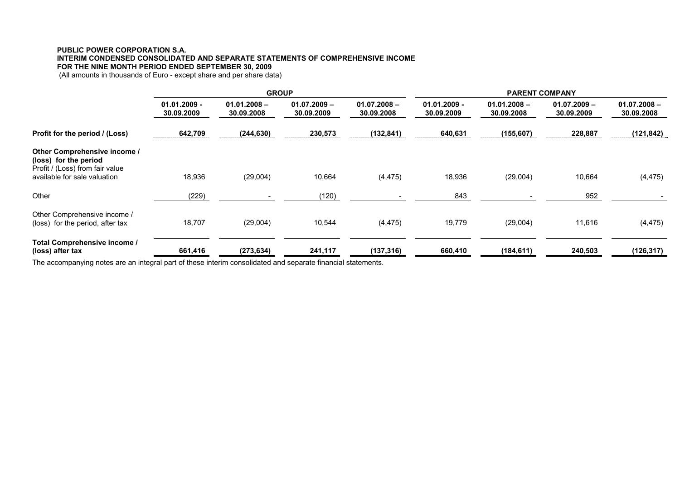# **PUBLIC POWER CORPORATION S.A. INTERIM CONDENSED CONSOLIDATED AND SEPARATE STATEMENTS OF COMPREHENSIVE INCOME FOR THE NINE MONTH PERIOD ENDED SEPTEMBER 30, 2009**

(All amounts in thousands of Euro - except share and per share data)

|                                                                                                                          | <b>GROUP</b>                 |                              |                              |                              | <b>PARENT COMPANY</b>        |                              |                              |                              |  |
|--------------------------------------------------------------------------------------------------------------------------|------------------------------|------------------------------|------------------------------|------------------------------|------------------------------|------------------------------|------------------------------|------------------------------|--|
|                                                                                                                          | $01.01.2009 -$<br>30.09.2009 | $01.01.2008 -$<br>30.09.2008 | $01.07.2009 -$<br>30.09.2009 | $01.07.2008 -$<br>30.09.2008 | $01.01.2009 -$<br>30.09.2009 | $01.01.2008 -$<br>30.09.2008 | $01.07.2009 -$<br>30.09.2009 | $01.07.2008 -$<br>30.09.2008 |  |
| Profit for the period / (Loss)                                                                                           | 642,709                      | (244, 630)                   | 230,573                      | (132, 841)                   | 640,631                      | (155, 607)                   | 228,887                      | (121, 842)                   |  |
| Other Comprehensive income /<br>(loss) for the period<br>Profit / (Loss) from fair value<br>available for sale valuation | 18,936                       | (29,004)                     | 10,664                       | (4, 475)                     | 18,936                       | (29,004)                     | 10,664                       | (4, 475)                     |  |
| Other                                                                                                                    | (229)                        |                              | (120)                        |                              | 843                          |                              | 952                          |                              |  |
| Other Comprehensive income /<br>(loss) for the period, after tax                                                         | 18,707                       | (29,004)                     | 10,544                       | (4, 475)                     | 19,779                       | (29,004)                     | 11,616                       | (4, 475)                     |  |
| Total Comprehensive income /<br>(loss) after tax                                                                         | 661,416                      | (273, 634)                   | 241,117                      | (137, 316)                   | 660,410                      | (184, 611)                   | 240,503                      | (126, 317)                   |  |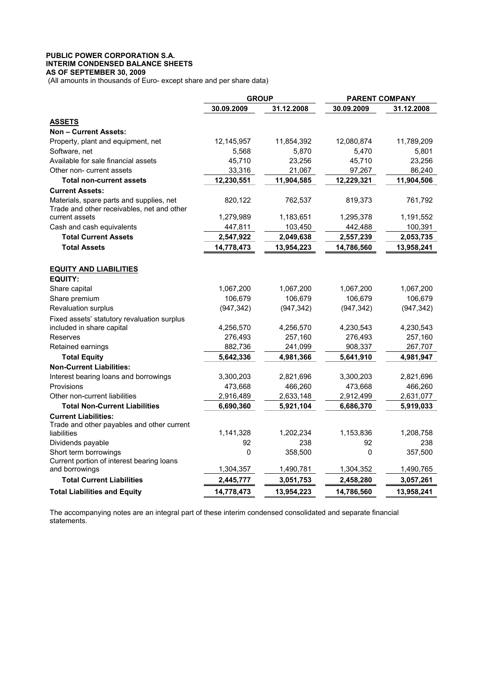### **PUBLIC POWER CORPORATION S.A. INTERIM CONDENSED BALANCE SHEETS AS OF SEPTEMBER 30, 2009**

(All amounts in thousands of Euro- except share and per share data)

|                                                                                        | <b>GROUP</b> |            | <b>PARENT COMPANY</b> |            |
|----------------------------------------------------------------------------------------|--------------|------------|-----------------------|------------|
|                                                                                        | 30.09.2009   | 31.12.2008 | 30.09.2009            | 31.12.2008 |
| <b>ASSETS</b>                                                                          |              |            |                       |            |
| <b>Non - Current Assets:</b>                                                           |              |            |                       |            |
| Property, plant and equipment, net                                                     | 12,145,957   | 11,854,392 | 12,080,874            | 11,789,209 |
| Software, net                                                                          | 5,568        | 5,870      | 5,470                 | 5,801      |
| Available for sale financial assets                                                    | 45,710       | 23,256     | 45,710                | 23,256     |
| Other non- current assets                                                              | 33,316       | 21,067     | 97,267                | 86,240     |
| <b>Total non-current assets</b>                                                        | 12,230,551   | 11,904,585 | 12,229,321            | 11,904,506 |
| <b>Current Assets:</b>                                                                 |              |            |                       |            |
| Materials, spare parts and supplies, net<br>Trade and other receivables, net and other | 820,122      | 762,537    | 819,373               | 761,792    |
| current assets                                                                         | 1,279,989    | 1,183,651  | 1,295,378             | 1,191,552  |
| Cash and cash equivalents                                                              | 447,811      | 103,450    | 442,488               | 100,391    |
| <b>Total Current Assets</b>                                                            | 2,547,922    | 2,049,638  | 2,557,239             | 2,053,735  |
| <b>Total Assets</b>                                                                    | 14,778,473   | 13,954,223 | 14,786,560            | 13,958,241 |
| <b>EQUITY AND LIABILITIES</b><br><b>EQUITY:</b>                                        |              |            |                       |            |
| Share capital                                                                          | 1,067,200    | 1,067,200  | 1,067,200             | 1,067,200  |
| Share premium                                                                          | 106,679      | 106,679    | 106,679               | 106,679    |
| Revaluation surplus                                                                    | (947, 342)   | (947, 342) | (947, 342)            | (947, 342) |
| Fixed assets' statutory revaluation surplus<br>included in share capital               | 4,256,570    | 4,256,570  | 4,230,543             | 4,230,543  |
| Reserves                                                                               | 276,493      | 257,160    | 276,493               | 257,160    |
| Retained earnings                                                                      | 882,736      | 241,099    | 908,337               | 267,707    |
| <b>Total Equity</b>                                                                    | 5,642,336    | 4,981,366  | 5,641,910             | 4,981,947  |
| <b>Non-Current Liabilities:</b>                                                        |              |            |                       |            |
| Interest bearing loans and borrowings                                                  | 3,300,203    | 2,821,696  | 3,300,203             | 2,821,696  |
| Provisions                                                                             | 473,668      | 466,260    | 473,668               | 466,260    |
| Other non-current liabilities                                                          | 2,916,489    | 2,633,148  | 2,912,499             | 2,631,077  |
| <b>Total Non-Current Liabilities</b>                                                   | 6,690,360    | 5,921,104  | 6,686,370             | 5,919,033  |
| <b>Current Liabilities:</b><br>Trade and other payables and other current              |              |            |                       |            |
| liabilities                                                                            | 1,141,328    | 1,202,234  | 1,153,836             | 1,208,758  |
| Dividends payable                                                                      | 92           | 238        | 92                    | 238        |
| Short term borrowings<br>Current portion of interest bearing loans                     | 0            | 358,500    | 0                     | 357,500    |
| and borrowings                                                                         | 1,304,357    | 1,490,781  | 1,304,352             | 1,490,765  |
| <b>Total Current Liabilities</b>                                                       | 2,445,777    | 3,051,753  | 2,458,280             | 3,057,261  |
| <b>Total Liabilities and Equity</b>                                                    | 14,778,473   | 13,954,223 | 14,786,560            | 13,958,241 |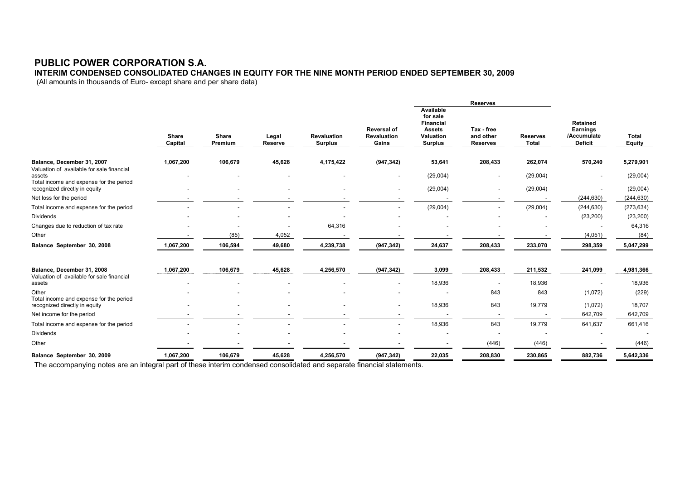# **PUBLIC POWER CORPORATION S.A.**

**INTERIM CONDENSED CONSOLIDATED CHANGES IN EQUITY FOR THE NINE MONTH PERIOD ENDED SEPTEMBER 30, 2009** 

(All amounts in thousands of Euro- except share and per share data)

|                                                                                                |                  |                  |                  |                                      |                                                   |                                                                                           | <b>Reserves</b>                            |                          |                                                              |                        |
|------------------------------------------------------------------------------------------------|------------------|------------------|------------------|--------------------------------------|---------------------------------------------------|-------------------------------------------------------------------------------------------|--------------------------------------------|--------------------------|--------------------------------------------------------------|------------------------|
|                                                                                                | Share<br>Capital | Share<br>Premium | Legal<br>Reserve | <b>Revaluation</b><br><b>Surplus</b> | <b>Reversal of</b><br><b>Revaluation</b><br>Gains | Available<br>for sale<br><b>Financial</b><br><b>Assets</b><br>Valuation<br><b>Surplus</b> | Tax - free<br>and other<br><b>Reserves</b> | <b>Reserves</b><br>Total | Retained<br><b>Earnings</b><br>/Accumulate<br><b>Deficit</b> | Total<br><b>Equity</b> |
| Balance, December 31, 2007                                                                     | 1,067,200        | 106,679          | 45,628           | 4,175,422                            | (947, 342)                                        | 53,641                                                                                    | 208,433                                    | 262,074                  | 570,240                                                      | 5,279,901              |
| Valuation of available for sale financial<br>assets<br>Total income and expense for the period |                  |                  |                  |                                      | ٠                                                 | (29,004)                                                                                  | $\tilde{\phantom{a}}$                      | (29,004)                 |                                                              | (29,004)               |
| recognized directly in equity                                                                  |                  |                  |                  |                                      | $\sim$                                            | (29,004)                                                                                  | $\overline{\phantom{a}}$                   | (29,004)                 |                                                              | (29,004)               |
| Net loss for the period                                                                        |                  |                  |                  |                                      |                                                   |                                                                                           |                                            |                          | (244, 630)                                                   | (244, 630)             |
| Total income and expense for the period                                                        |                  |                  |                  |                                      | $\overline{\phantom{a}}$                          | (29,004)                                                                                  | $\overline{\phantom{a}}$                   | (29,004)                 | (244, 630)                                                   | (273, 634)             |
| <b>Dividends</b>                                                                               |                  |                  |                  |                                      |                                                   |                                                                                           |                                            |                          | (23, 200)                                                    | (23, 200)              |
| Changes due to reduction of tax rate                                                           |                  |                  |                  | 64,316                               |                                                   |                                                                                           |                                            |                          |                                                              | 64,316                 |
| Other                                                                                          |                  | (85)             | 4,052            |                                      |                                                   |                                                                                           |                                            |                          | (4,051)                                                      | (84)                   |
| Balance September 30, 2008                                                                     | 1,067,200        | 106,594          | 49,680           | 4,239,738                            | (947, 342)                                        | 24,637                                                                                    | 208,433                                    | 233,070                  | 298,359                                                      | 5,047,299              |
| Balance, December 31, 2008                                                                     | 1,067,200        | 106,679          | 45,628           | 4,256,570                            | (947, 342)                                        | 3,099                                                                                     | 208,433                                    | 211,532                  | 241,099                                                      | 4,981,366              |
| Valuation of available for sale financial<br>assets                                            |                  |                  |                  |                                      | $\sim$                                            | 18,936                                                                                    | $\sim$                                     | 18,936                   |                                                              | 18,936                 |
| Other                                                                                          |                  |                  |                  |                                      |                                                   |                                                                                           | 843                                        | 843                      | (1,072)                                                      | (229)                  |
| Total income and expense for the period<br>recognized directly in equity                       |                  |                  |                  |                                      | -                                                 | 18,936                                                                                    | 843                                        | 19,779                   | (1,072)                                                      | 18,707                 |
| Net income for the period                                                                      |                  |                  |                  |                                      | $\overline{\phantom{a}}$                          | $\overline{\phantom{a}}$                                                                  | $\sim$                                     |                          | 642,709                                                      | 642,709                |
| Total income and expense for the period                                                        |                  |                  |                  |                                      |                                                   | 18,936                                                                                    | 843                                        | 19,779                   | 641,637                                                      | 661,416                |
| <b>Dividends</b>                                                                               |                  |                  |                  |                                      |                                                   |                                                                                           | $\tilde{\phantom{a}}$                      |                          |                                                              |                        |
| Other                                                                                          |                  |                  |                  |                                      |                                                   |                                                                                           | (446)                                      | (446)                    |                                                              | (446)                  |
| Balance September 30, 2009                                                                     | 1,067,200        | 106,679          | 45,628           | 4,256,570                            | (947, 342)                                        | 22,035                                                                                    | 208,830                                    | 230,865                  | 882,736                                                      | 5,642,336              |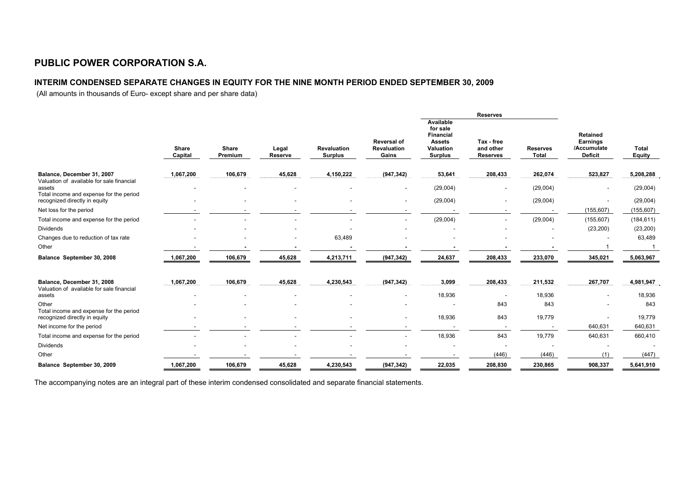# **PUBLIC POWER CORPORATION S.A.**

# **INTERIM CONDENSED SEPARATE CHANGES IN EQUITY FOR THE NINE MONTH PERIOD ENDED SEPTEMBER 30, 2009**

(All amounts in thousands of Euro- except share and per share data)

|                                                                                                |                         |                  |                  |                                      |                                                   |                                                                                    | <b>Reserves</b>                            |                                 |                                                       |                               |
|------------------------------------------------------------------------------------------------|-------------------------|------------------|------------------|--------------------------------------|---------------------------------------------------|------------------------------------------------------------------------------------|--------------------------------------------|---------------------------------|-------------------------------------------------------|-------------------------------|
|                                                                                                | <b>Share</b><br>Capital | Share<br>Premium | Legal<br>Reserve | <b>Revaluation</b><br><b>Surplus</b> | <b>Reversal of</b><br><b>Revaluation</b><br>Gains | Available<br>for sale<br>Financial<br><b>Assets</b><br>Valuation<br><b>Surplus</b> | Tax - free<br>and other<br><b>Reserves</b> | <b>Reserves</b><br><b>Total</b> | Retained<br>Earnings<br>/Accumulate<br><b>Deficit</b> | <b>Total</b><br><b>Equity</b> |
| Balance, December 31, 2007                                                                     | 1,067,200               | 106,679          | 45,628           | 4,150,222                            | (947, 342)                                        | 53,641                                                                             | 208,433                                    | 262,074                         | 523,827                                               | 5,208,288                     |
| Valuation of available for sale financial<br>assets<br>Total income and expense for the period |                         |                  |                  |                                      |                                                   | (29,004)                                                                           | $\qquad \qquad \blacksquare$               | (29,004)                        |                                                       | (29,004)                      |
| recognized directly in equity                                                                  |                         |                  |                  |                                      |                                                   | (29,004)                                                                           | $\overline{\phantom{a}}$                   | (29,004)                        | $\overline{\phantom{a}}$                              | (29,004)                      |
| Net loss for the period                                                                        |                         |                  |                  |                                      | $\sim$                                            |                                                                                    | $\overline{\phantom{a}}$                   |                                 | (155, 607)                                            | (155, 607)                    |
| Total income and expense for the period                                                        |                         |                  |                  |                                      |                                                   | (29,004)                                                                           |                                            | (29,004)                        | (155, 607)                                            | (184, 611)                    |
| <b>Dividends</b>                                                                               |                         |                  |                  |                                      |                                                   |                                                                                    |                                            |                                 | (23, 200)                                             | (23, 200)                     |
| Changes due to reduction of tax rate                                                           |                         |                  |                  | 63,489                               |                                                   |                                                                                    |                                            |                                 |                                                       | 63,489                        |
| Other                                                                                          |                         |                  |                  |                                      |                                                   |                                                                                    |                                            |                                 |                                                       |                               |
| Balance September 30, 2008                                                                     | 1,067,200               | 106,679          | 45,628           | 4,213,711                            | (947, 342)                                        | 24,637                                                                             | 208,433                                    | 233,070                         | 345,021                                               | 5,063,967                     |
| Balance, December 31, 2008                                                                     | 1,067,200               | 106,679          | 45,628           | 4,230,543                            | (947, 342)                                        | 3,099                                                                              | 208,433                                    | 211,532                         | 267,707                                               | 4,981,947                     |
| Valuation of available for sale financial<br>assets                                            |                         |                  |                  |                                      |                                                   | 18,936                                                                             |                                            | 18,936                          |                                                       | 18,936                        |
| Other                                                                                          |                         |                  |                  |                                      |                                                   |                                                                                    | 843                                        | 843                             |                                                       | 843                           |
| Total income and expense for the period<br>recognized directly in equity                       |                         |                  |                  |                                      |                                                   | 18,936                                                                             | 843                                        | 19,779                          |                                                       | 19,779                        |
| Net income for the period                                                                      |                         |                  |                  |                                      |                                                   |                                                                                    | $\overline{\phantom{a}}$                   |                                 | 640,631                                               | 640,631                       |
| Total income and expense for the period                                                        |                         |                  |                  |                                      |                                                   | 18,936                                                                             | 843                                        | 19,779                          | 640,631                                               | 660,410                       |
| Dividends                                                                                      |                         |                  |                  |                                      |                                                   |                                                                                    |                                            |                                 |                                                       |                               |
| Other                                                                                          |                         |                  |                  |                                      |                                                   |                                                                                    | (446)                                      | (446)                           | (1)                                                   | (447)                         |
| Balance September 30, 2009                                                                     | 1,067,200               | 106,679          | 45,628           | 4,230,543                            | (947, 342)                                        | 22,035                                                                             | 208,830                                    | 230,865                         | 908,337                                               | 5,641,910                     |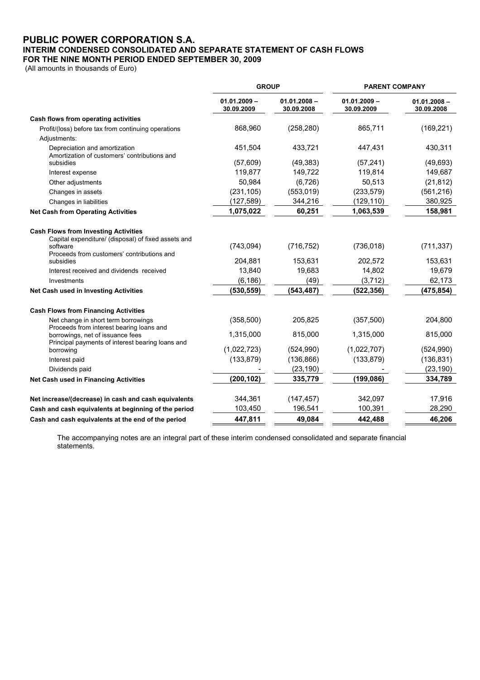# **PUBLIC POWER CORPORATION S.A. INTERIM CONDENSED CONSOLIDATED AND SEPARATE STATEMENT OF CASH FLOWS FOR THE NINE MONTH PERIOD ENDED SEPTEMBER 30, 2009**

(All amounts in thousands of Euro)

|                                                                                                                                                                           | <b>GROUP</b>                 |                              | <b>PARENT COMPANY</b>        |                              |  |
|---------------------------------------------------------------------------------------------------------------------------------------------------------------------------|------------------------------|------------------------------|------------------------------|------------------------------|--|
|                                                                                                                                                                           | $01.01.2009 -$<br>30.09.2009 | $01.01.2008 -$<br>30.09.2008 | $01.01.2009 -$<br>30.09.2009 | $01.01.2008 -$<br>30.09.2008 |  |
| Cash flows from operating activities                                                                                                                                      |                              |                              |                              |                              |  |
| Profit/(loss) before tax from continuing operations                                                                                                                       | 868,960                      | (258, 280)                   | 865,711                      | (169, 221)                   |  |
| Adjustments:                                                                                                                                                              |                              |                              |                              |                              |  |
| Depreciation and amortization<br>Amortization of customers' contributions and                                                                                             | 451,504                      | 433,721                      | 447,431                      | 430,311                      |  |
| subsidies                                                                                                                                                                 | (57, 609)                    | (49, 383)                    | (57, 241)                    | (49, 693)                    |  |
| Interest expense                                                                                                                                                          | 119,877                      | 149,722                      | 119,814                      | 149,687                      |  |
| Other adjustments                                                                                                                                                         | 50,984                       | (6, 726)                     | 50,513                       | (21, 812)                    |  |
| Changes in assets                                                                                                                                                         | (231, 105)                   | (553, 019)                   | (233, 579)                   | (561, 216)                   |  |
| Changes in liabilities                                                                                                                                                    | (127,589)                    | 344,216                      | (129,110)                    | 380,925                      |  |
| <b>Net Cash from Operating Activities</b>                                                                                                                                 | 1,075,022                    | 60,251                       | 1,063,539                    | 158,981                      |  |
| <b>Cash Flows from Investing Activities</b><br>Capital expenditure/ (disposal) of fixed assets and<br>software<br>Proceeds from customers' contributions and<br>subsidies | (743, 094)<br>204,881        | (716, 752)<br>153,631        | (736, 018)<br>202,572        | (711, 337)<br>153,631        |  |
| Interest received and dividends received                                                                                                                                  | 13,840                       | 19,683                       | 14,802                       | 19,679                       |  |
| Investments                                                                                                                                                               | (6, 186)                     | (49)                         | (3,712)                      | 62,173                       |  |
| Net Cash used in Investing Activities                                                                                                                                     | (530, 559)                   | (543, 487)                   | (522, 356)                   | (475, 854)                   |  |
| <b>Cash Flows from Financing Activities</b>                                                                                                                               |                              |                              |                              |                              |  |
| Net change in short term borrowings<br>Proceeds from interest bearing loans and                                                                                           | (358, 500)                   | 205,825                      | (357, 500)                   | 204,800                      |  |
| borrowings, net of issuance fees<br>Principal payments of interest bearing loans and                                                                                      | 1,315,000                    | 815,000                      | 1,315,000                    | 815,000                      |  |
| borrowing                                                                                                                                                                 | (1,022,723)                  | (524, 990)                   | (1,022,707)                  | (524, 990)                   |  |
| Interest paid                                                                                                                                                             | (133, 879)                   | (136, 866)                   | (133, 879)                   | (136, 831)                   |  |
| Dividends paid                                                                                                                                                            |                              | (23, 190)                    |                              | (23, 190)                    |  |
| Net Cash used in Financing Activities                                                                                                                                     | (200, 102)                   | 335,779                      | (199, 086)                   | 334,789                      |  |
| Net increase/(decrease) in cash and cash equivalents                                                                                                                      | 344,361                      | (147, 457)                   | 342,097                      | 17,916                       |  |
| Cash and cash equivalents at beginning of the period                                                                                                                      | 103,450                      | 196,541                      | 100,391                      | 28,290                       |  |
| Cash and cash equivalents at the end of the period                                                                                                                        | 447,811                      | 49,084                       | 442.488                      | 46,206                       |  |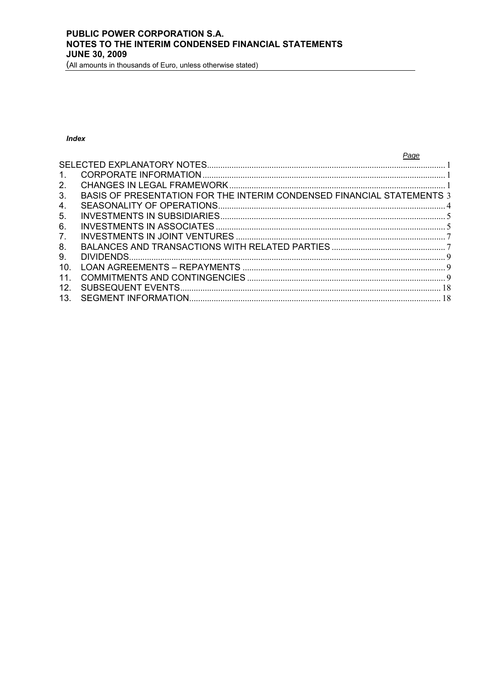(All amounts in thousands of Euro, unless otherwise stated)

# **Index**

|                | Page                                                                   |  |
|----------------|------------------------------------------------------------------------|--|
|                |                                                                        |  |
| $\mathbf{1}$ . |                                                                        |  |
| 2 <sub>1</sub> |                                                                        |  |
| 3.             | BASIS OF PRESENTATION FOR THE INTERIM CONDENSED FINANCIAL STATEMENTS 3 |  |
| 4.             |                                                                        |  |
| 5.             |                                                                        |  |
| 6.             |                                                                        |  |
| 7 <sub>1</sub> |                                                                        |  |
| 8.             |                                                                        |  |
| 9.             |                                                                        |  |
| 10.            |                                                                        |  |
| 11.            |                                                                        |  |
| 12.            |                                                                        |  |
| 13.            |                                                                        |  |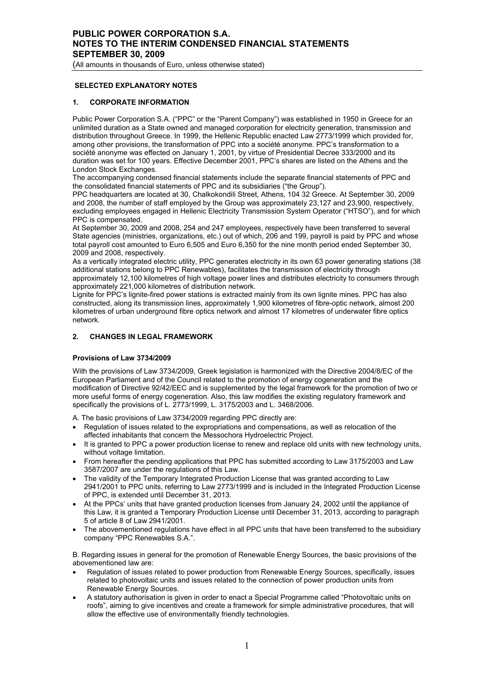# <span id="page-8-0"></span> **SELECTED EXPLANATORY NOTES**

### **1. CORPORATE INFORMATION**

Public Power Corporation S.A. ("PPC" or the "Parent Company") was established in 1950 in Greece for an unlimited duration as a State owned and managed corporation for electricity generation, transmission and distribution throughout Greece. In 1999, the Hellenic Republic enacted Law 2773/1999 which provided for, among other provisions, the transformation of PPC into a société anonyme. PPC's transformation to a société anonyme was effected on January 1, 2001, by virtue of Presidential Decree 333/2000 and its duration was set for 100 years. Effective December 2001, PPC's shares are listed on the Athens and the London Stock Exchanges.

The accompanying condensed financial statements include the separate financial statements of PPC and the consolidated financial statements of PPC and its subsidiaries ("the Group").

PPC headquarters are located at 30, Chalkokondili Street, Athens, 104 32 Greece. At September 30, 2009 and 2008, the number of staff employed by the Group was approximately 23,127 and 23,900, respectively, excluding employees engaged in Hellenic Electricity Transmission System Operator ("HTSO"), and for which PPC is compensated.

At September 30, 2009 and 2008, 254 and 247 employees, respectively have been transferred to several State agencies (ministries, organizations, etc.) out of which, 206 and 199, payroll is paid by PPC and whose total payroll cost amounted to Euro 6,505 and Euro 6,350 for the nine month period ended September 30, 2009 and 2008, respectively.

As a vertically integrated electric utility, PPC generates electricity in its own 63 power generating stations (38 additional stations belong to PPC Renewables), facilitates the transmission of electricity through approximately 12,100 kilometres of high voltage power lines and distributes electricity to consumers through approximately 221,000 kilometres of distribution network.

Lignite for PPC's lignite-fired power stations is extracted mainly from its own lignite mines. PPC has also constructed, along its transmission lines, approximately 1,900 kilometres of fibre-optic network, almost 200 kilometres of urban underground fibre optics network and almost 17 kilometres of underwater fibre optics network.

# **2. CHANGES IN LEGAL FRAMEWORK**

### **Provisions of Law 3734/2009**

With the provisions of Law 3734/2009, Greek legislation is harmonized with the Directive 2004/8/EC of the European Parliament and of the Council related to the promotion of energy cogeneration and the modification of Directive 92/42/EEC and is supplemented by the legal framework for the promotion of two or more useful forms of energy cogeneration. Also, this law modifies the existing regulatory framework and specifically the provisions of L. 2773/1999, L. 3175/2003 and L. 3468/2006.

A. The basic provisions of Law 3734/2009 regarding PPC directly are:

- Regulation of issues related to the expropriations and compensations, as well as relocation of the affected inhabitants that concern the Messochora Hydroelectric Project.
- It is granted to PPC a power production license to renew and replace old units with new technology units, without voltage limitation.
- From hereafter the pending applications that PPC has submitted according to Law 3175/2003 and Law 3587/2007 are under the regulations of this Law.
- The validity of the Temporary Integrated Production License that was granted according to Law 2941/2001 to PPC units, referring to Law 2773/1999 and is included in the Integrated Production License of PPC, is extended until December 31, 2013.
- At the PPCs' units that have granted production licenses from January 24, 2002 until the appliance of this Law, it is granted a Temporary Production License until December 31, 2013, according to paragraph 5 of article 8 of Law 2941/2001.
- The abovementioned regulations have effect in all PPC units that have been transferred to the subsidiary company "PPC Renewables S.A.".

B. Regarding issues in general for the promotion of Renewable Energy Sources, the basic provisions of the abovementioned law are:

- Regulation of issues related to power production from Renewable Energy Sources, specifically, issues related to photovoltaic units and issues related to the connection of power production units from Renewable Energy Sources.
- A statutory authorisation is given in order to enact a Special Programme called "Photovoltaic units on roofs", aiming to give incentives and create a framework for simple administrative procedures, that will allow the effective use of environmentally friendly technologies.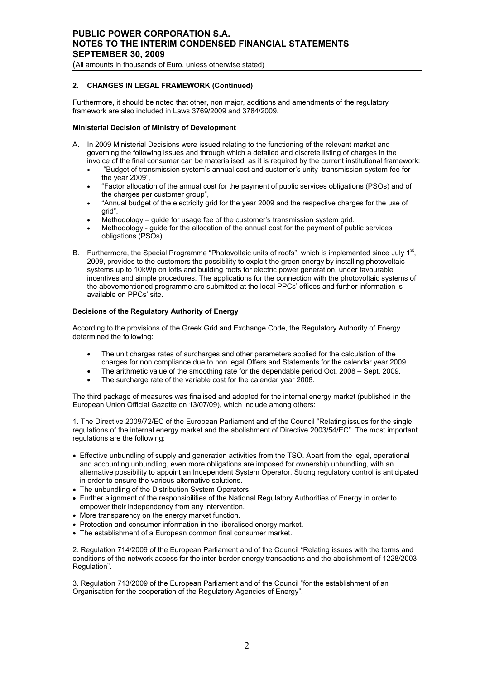### **2. CHANGES IN LEGAL FRAMEWORK (Continued)**

Furthermore, it should be noted that other, non major, additions and amendments of the regulatory framework are also included in Laws 3769/2009 and 3784/2009.

### **Ministerial Decision of Ministry of Development**

- A. In 2009 Ministerial Decisions were issued relating to the functioning of the relevant market and governing the following issues and through which a detailed and discrete listing of charges in the invoice of the final consumer can be materialised, as it is required by the current institutional framework:
	- "Budget of transmission system's annual cost and customer's unity transmission system fee for the year 2009",
	- "Factor allocation of the annual cost for the payment of public services obligations (PSOs) and of the charges per customer group",
	- "Annual budget of the electricity grid for the year 2009 and the respective charges for the use of grid",
	- Methodology quide for usage fee of the customer's transmission system grid.
	- Methodology guide for the allocation of the annual cost for the payment of public services obligations (PSOs).
- B. Furthermore, the Special Programme "Photovoltaic units of roofs", which is implemented since July 1<sup>st</sup>, 2009, provides to the customers the possibility to exploit the green energy by installing photovoltaic systems up to 10kWp on lofts and building roofs for electric power generation, under favourable incentives and simple procedures. The applications for the connection with the photovoltaic systems of the abovementioned programme are submitted at the local PPCs' offices and further information is available on PPCs' site.

### **Decisions of the Regulatory Authority of Energy**

According to the provisions of the Greek Grid and Exchange Code, the Regulatory Authority of Energy determined the following:

- The unit charges rates of surcharges and other parameters applied for the calculation of the charges for non compliance due to non legal Offers and Statements for the calendar year 2009.
- The arithmetic value of the smoothing rate for the dependable period Oct. 2008 Sept. 2009.
- The surcharge rate of the variable cost for the calendar year 2008.

The third package of measures was finalised and adopted for the internal energy market (published in the European Union Official Gazette on 13/07/09), which include among others:

1. The Directive 2009/72/EC of the European Parliament and of the Council "Relating issues for the single regulations of the internal energy market and the abolishment of Directive 2003/54/EC". The most important regulations are the following:

- Effective unbundling of supply and generation activities from the TSO. Apart from the legal, operational and accounting unbundling, even more obligations are imposed for ownership unbundling, with an alternative possibility to appoint an Independent System Operator. Strong regulatory control is anticipated in order to ensure the various alternative solutions.
- The unbundling of the Distribution System Operators.
- Further alignment of the responsibilities of the National Regulatory Authorities of Energy in order to empower their independency from any intervention.
- More transparency on the energy market function.
- Protection and consumer information in the liberalised energy market.
- The establishment of a European common final consumer market.

2. Regulation 714/2009 of the European Parliament and of the Council "Relating issues with the terms and conditions of the network access for the inter-border energy transactions and the abolishment of 1228/2003 Regulation".

3. Regulation 713/2009 of the European Parliament and of the Council "for the establishment of an Organisation for the cooperation of the Regulatory Agencies of Energy".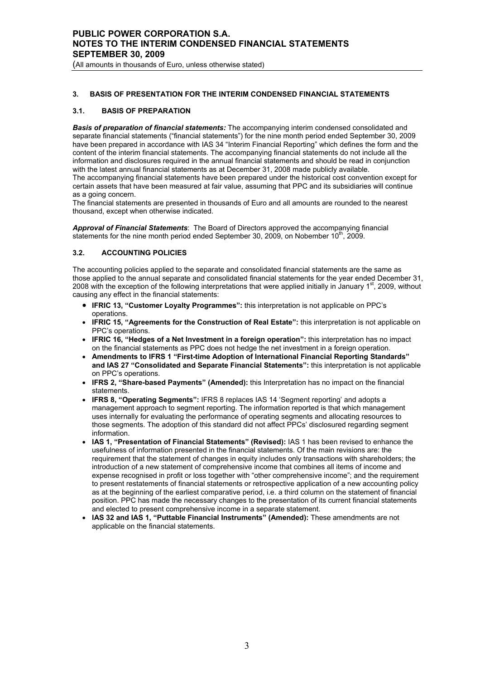(All amounts in thousands of Euro, unless otherwise stated)

# **3. BASIS OF PRESENTATION FOR THE INTERIM CONDENSED FINANCIAL STATEMENTS**

### **3.1. BASIS OF PREPARATION**

*Basis of preparation of financial statements:* The accompanying interim condensed consolidated and separate financial statements ("financial statements") for the nine month period ended September 30, 2009 have been prepared in accordance with IAS 34 "Interim Financial Reporting" which defines the form and the content of the interim financial statements. The accompanying financial statements do not include all the information and disclosures required in the annual financial statements and should be read in conjunction with the latest annual financial statements as at December 31, 2008 made publicly available. The accompanying financial statements have been prepared under the historical cost convention except for certain assets that have been measured at fair value, assuming that PPC and its subsidiaries will continue as a going concern.

The financial statements are presented in thousands of Euro and all amounts are rounded to the nearest thousand, except when otherwise indicated.

*Approval of Financial Statements*: The Board of Directors approved the accompanying financial statements for the nine month period ended September 30, 2009, on Nobember 10<sup>th</sup>, 2009.

### **3.2. ACCOUNTING POLICIES**

The accounting policies applied to the separate and consolidated financial statements are the same as those applied to the annual separate and consolidated financial statements for the year ended December 31, 2008 with the exception of the following interpretations that were applied initially in January  $1<sup>st</sup>$ , 2009, without causing any effect in the financial statements:

- **IFRIC 13, "Customer Loyalty Programmes":** this interpretation is not applicable on PPC's operations.
- **IFRIC 15, "Agreements for the Construction of Real Estate":** this interpretation is not applicable on PPC's operations.
- **IFRIC 16, "Hedges of a Net Investment in a foreign operation":** this interpretation has no impact on the financial statements as PPC does not hedge the net investment in a foreign operation.
- **Amendments to IFRS 1 "First-time Adoption of International Financial Reporting Standards" and IAS 27 "Consolidated and Separate Financial Statements":** this interpretation is not applicable on PPC's operations.
- **IFRS 2, "Share-based Payments" (Amended):** this Interpretation has no impact on the financial statements.
- **IFRS 8, "Operating Segments":** IFRS 8 replaces IAS 14 'Segment reporting' and adopts a management approach to segment reporting. The information reported is that which management uses internally for evaluating the performance of operating segments and allocating resources to those segments. The adoption of this standard did not affect PPCs' disclosured regarding segment information.
- **IAS 1, "Presentation of Financial Statements" (Revised):** IAS 1 has been revised to enhance the usefulness of information presented in the financial statements. Of the main revisions are: the requirement that the statement of changes in equity includes only transactions with shareholders; the introduction of a new statement of comprehensive income that combines all items of income and expense recognised in profit or loss together with "other comprehensive income"; and the requirement to present restatements of financial statements or retrospective application of a new accounting policy as at the beginning of the earliest comparative period, i.e. a third column on the statement of financial position. PPC has made the necessary changes to the presentation of its current financial statements and elected to present comprehensive income in a separate statement.
- **IAS 32 and IAS 1, "Puttable Financial Instruments" (Amended):** These amendments are not applicable on the financial statements.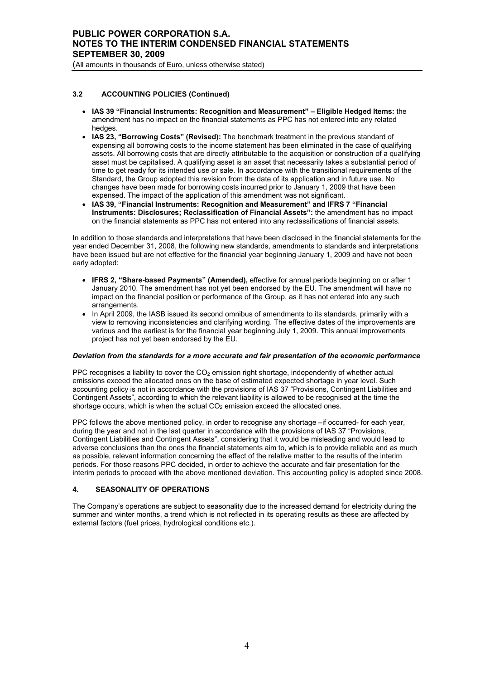### **3.2 ACCOUNTING POLICIES (Continued)**

- **IAS 39 "Financial Instruments: Recognition and Measurement" Eligible Hedged Items:** the amendment has no impact on the financial statements as PPC has not entered into any related hedges
- **IAS 23, "Borrowing Costs" (Revised):** The benchmark treatment in the previous standard of expensing all borrowing costs to the income statement has been eliminated in the case of qualifying assets. All borrowing costs that are directly attributable to the acquisition or construction of a qualifying asset must be capitalised. A qualifying asset is an asset that necessarily takes a substantial period of time to get ready for its intended use or sale. In accordance with the transitional requirements of the Standard, the Group adopted this revision from the date of its application and in future use. No changes have been made for borrowing costs incurred prior to January 1, 2009 that have been expensed. The impact of the application of this amendment was not significant.
- **IAS 39, "Financial Instruments: Recognition and Measurement" and IFRS 7 "Financial Instruments: Disclosures; Reclassification of Financial Assets":** the amendment has no impact on the financial statements as PPC has not entered into any reclassifications of financial assets.

In addition to those standards and interpretations that have been disclosed in the financial statements for the year ended December 31, 2008, the following new standards, amendments to standards and interpretations have been issued but are not effective for the financial year beginning January 1, 2009 and have not been early adopted:

- **IFRS 2, "Share-based Payments" (Amended),** effective for annual periods beginning on or after 1 January 2010. The amendment has not yet been endorsed by the EU. The amendment will have no impact on the financial position or performance of the Group, as it has not entered into any such arrangements.
- In April 2009, the IASB issued its second omnibus of amendments to its standards, primarily with a view to removing inconsistencies and clarifying wording. The effective dates of the improvements are various and the earliest is for the financial year beginning July 1, 2009. This annual improvements project has not yet been endorsed by the EU.

### *Deviation from the standards for a more accurate and fair presentation of the economic performance*

PPC recognises a liability to cover the  $CO<sub>2</sub>$  emission right shortage, independently of whether actual emissions exceed the allocated ones on the base of estimated expected shortage in year level. Such accounting policy is not in accordance with the provisions of IAS 37 "Provisions, Contingent Liabilities and Contingent Assets", according to which the relevant liability is allowed to be recognised at the time the shortage occurs, which is when the actual  $CO<sub>2</sub>$  emission exceed the allocated ones.

PPC follows the above mentioned policy, in order to recognise any shortage –if occurred- for each year, during the year and not in the last quarter in accordance with the provisions of IAS 37 "Provisions, Contingent Liabilities and Contingent Assets", considering that it would be misleading and would lead to adverse conclusions than the ones the financial statements aim to, which is to provide reliable and as much as possible, relevant information concerning the effect of the relative matter to the results of the interim periods. For those reasons PPC decided, in order to achieve the accurate and fair presentation for the interim periods to proceed with the above mentioned deviation. This accounting policy is adopted since 2008.

### **4. SEASONALITY OF OPERATIONS**

The Company's operations are subject to seasonality due to the increased demand for electricity during the summer and winter months, a trend which is not reflected in its operating results as these are affected by external factors (fuel prices, hydrological conditions etc.).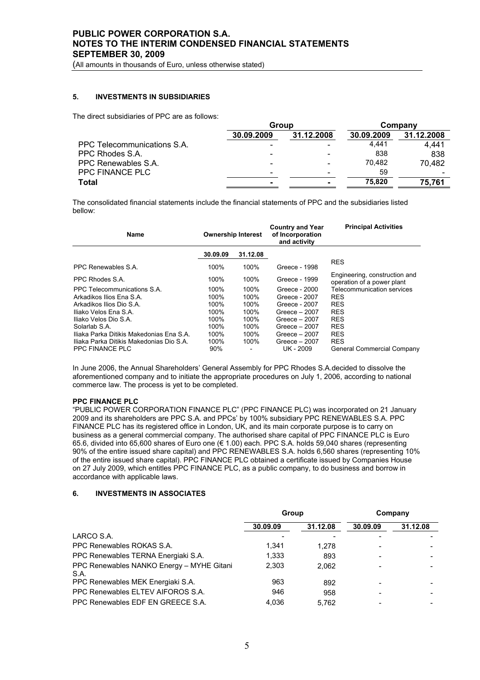(All amounts in thousands of Euro, unless otherwise stated)

# **5. INVESTMENTS IN SUBSIDIARIES**

The direct subsidiaries of PPC are as follows:

|                             | Group      |            |            | Company                  |
|-----------------------------|------------|------------|------------|--------------------------|
|                             | 30.09.2009 | 31.12.2008 | 30.09.2009 | 31.12.2008               |
| PPC Telecommunications S.A. |            |            | 4.441      | 4.441                    |
| PPC Rhodes S.A.             |            |            | 838        | 838                      |
| PPC Renewables S.A.         |            |            | 70.482     | 70,482                   |
| PPC FINANCE PLC             | -          | -          | 59         | $\overline{\phantom{0}}$ |
| Total                       |            |            | 75.820     | 75.761                   |

The consolidated financial statements include the financial statements of PPC and the subsidiaries listed bellow:

| <b>Name</b>                              | <b>Ownership Interest</b> |          | <b>Country and Year</b><br>of Incorporation<br>and activity | <b>Principal Activities</b>                                 |
|------------------------------------------|---------------------------|----------|-------------------------------------------------------------|-------------------------------------------------------------|
|                                          | 30.09.09                  | 31.12.08 |                                                             |                                                             |
| PPC Renewables S.A.                      | 100%                      | 100%     | Greece - 1998                                               | <b>RES</b>                                                  |
| PPC Rhodes S.A.                          | 100%                      | 100%     | Greece - 1999                                               | Engineering, construction and<br>operation of a power plant |
| PPC Telecommunications S.A.              | 100%                      | 100%     | Greece - 2000                                               | Telecommunication services                                  |
| Arkadikos Ilios Ena S.A.                 | 100%                      | 100%     | Greece - 2007                                               | <b>RES</b>                                                  |
| Arkadikos Ilios Dio S.A.                 | 100%                      | 100%     | Greece - 2007                                               | <b>RES</b>                                                  |
| Iliako Velos Ena S.A.                    | 100%                      | 100%     | Greece $-2007$                                              | <b>RES</b>                                                  |
| Iliako Velos Dio S.A.                    | 100%                      | 100%     | Greece $-2007$                                              | <b>RES</b>                                                  |
| Solarlab S.A.                            | 100%                      | 100%     | Greece $-2007$                                              | <b>RES</b>                                                  |
| Iliaka Parka Ditikis Makedonias Ena S.A. | 100%                      | 100%     | Greece $-2007$                                              | <b>RES</b>                                                  |
| Iliaka Parka Ditikis Makedonias Dio S.A. | 100%                      | 100%     | Greece $-2007$                                              | <b>RES</b>                                                  |
| PPC FINANCE PLC                          | 90%                       |          | UK - 2009                                                   | General Commercial Company                                  |

In June 2006, the Annual Shareholders' General Assembly for PPC Rhodes S.A.decided to dissolve the aforementioned company and to initiate the appropriate procedures on July 1, 2006, according to national commerce law. The process is yet to be completed.

### **PPC FINANCE PLC**

"PUBLIC POWER CORPORATION FINANCE PLC" (PPC FINANCE PLC) was incorporated on 21 January 2009 and its shareholders are PPC S.A. and PPCs' by 100% subsidiary PPC RENEWABLES S.A. PPC FINANCE PLC has its registered office in London, UK, and its main corporate purpose is to carry on business as a general commercial company. The authorised share capital of PPC FINANCE PLC is Euro 65.6, divided into 65,600 shares of Euro one (€ 1.00) each. PPC S.A. holds 59,040 shares (representing 90% of the entire issued share capital) and PPC RENEWABLES S.A. holds 6,560 shares (representing 10% of the entire issued share capital). PPC FINANCE PLC obtained a certificate issued by Companies House on 27 July 2009, which entitles PPC FINANCE PLC, as a public company, to do business and borrow in accordance with applicable laws.

# **6. INVESTMENTS IN ASSOCIATES**

|                                                   | <b>Group</b> |          |          | Company  |
|---------------------------------------------------|--------------|----------|----------|----------|
|                                                   | 30.09.09     | 31.12.08 | 30.09.09 | 31.12.08 |
| LARCO S.A.                                        |              |          |          |          |
| PPC Renewables ROKAS S.A.                         | 1,341        | 1.278    |          |          |
| PPC Renewables TERNA Energiaki S.A.               | 1,333        | 893      |          |          |
| PPC Renewables NANKO Energy - MYHE Gitani<br>S.A. | 2.303        | 2.062    |          |          |
| PPC Renewables MEK Energiaki S.A.                 | 963          | 892      |          |          |
| PPC Renewables ELTEV AIFOROS S.A.                 | 946          | 958      |          |          |
| PPC Renewables EDF EN GREECE S.A.                 | 4.036        | 5.762    |          |          |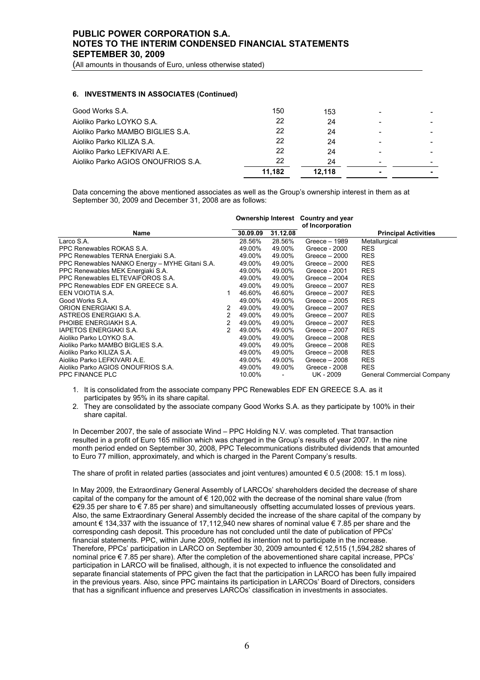(All amounts in thousands of Euro, unless otherwise stated)

### **6. INVESTMENTS IN ASSOCIATES (Continued)**

| 11.182 | 12.118 |    |  |
|--------|--------|----|--|
|        |        |    |  |
| 22     | 24     |    |  |
| 22     | 24     |    |  |
| 22     | 24     |    |  |
| 22     | 24     |    |  |
| 150    | 153    |    |  |
|        | 22     | 24 |  |

Data concerning the above mentioned associates as well as the Group's ownership interest in them as at September 30, 2009 and December 31, 2008 are as follows:

|                                                |   | Ownership Interest Country and year |          | of Incorporation |                             |
|------------------------------------------------|---|-------------------------------------|----------|------------------|-----------------------------|
| Name                                           |   | 30.09.09                            | 31.12.08 |                  | <b>Principal Activities</b> |
| Larco S.A.                                     |   | 28.56%                              | 28.56%   | Greece - 1989    | Metallurgical               |
| PPC Renewables ROKAS S.A.                      |   | 49.00%                              | 49.00%   | Greece - 2000    | <b>RES</b>                  |
| PPC Renewables TERNA Energiaki S.A.            |   | 49.00%                              | 49.00%   | Greece $-2000$   | <b>RES</b>                  |
| PPC Renewables NANKO Energy - MYHE Gitani S.A. |   | 49.00%                              | 49.00%   | Greece $-2000$   | <b>RES</b>                  |
| PPC Renewables MEK Energiaki S.A.              |   | 49.00%                              | 49.00%   | Greece - 2001    | <b>RES</b>                  |
| PPC Renewables ELTEVAIFOROS S.A.               |   | 49.00%                              | 49.00%   | Greece $-2004$   | <b>RES</b>                  |
| PPC Renewables EDF EN GREECE S.A.              |   | 49.00%                              | 49.00%   | Greece $-2007$   | <b>RES</b>                  |
| EEN VOIOTIA S.A.                               |   | 46.60%                              | 46.60%   | Greece $-2007$   | <b>RES</b>                  |
| Good Works S.A.                                |   | 49.00%                              | 49.00%   | Greece $-2005$   | <b>RES</b>                  |
| ORION ENERGIAKI S.A.                           | 2 | 49.00%                              | 49.00%   | Greece $-2007$   | <b>RES</b>                  |
| ASTREOS ENERGIAKI S.A.                         | 2 | 49.00%                              | 49.00%   | Greece $-2007$   | <b>RES</b>                  |
| PHOIBE ENERGIAKH S.A.                          | 2 | 49.00%                              | 49.00%   | Greece $-2007$   | <b>RES</b>                  |
| <b>IAPETOS ENERGIAKI S.A.</b>                  | 2 | 49.00%                              | 49.00%   | Greece $-2007$   | <b>RES</b>                  |
| Aioliko Parko LOYKO S.A.                       |   | 49.00%                              | 49.00%   | Greece $-2008$   | <b>RES</b>                  |
| Aioliko Parko MAMBO BIGLIES S.A.               |   | 49.00%                              | 49.00%   | Greece $-2008$   | <b>RES</b>                  |
| Aioliko Parko KILIZA S.A.                      |   | 49.00%                              | 49.00%   | Greece $-2008$   | <b>RES</b>                  |
| Aioliko Parko LEFKIVARI A.E.                   |   | 49.00%                              | 49.00%   | Greece $-2008$   | <b>RES</b>                  |
| Aioliko Parko AGIOS ONOUFRIOS S.A.             |   | 49.00%                              | 49.00%   | Greece - 2008    | <b>RES</b>                  |
| <b>PPC FINANCE PLC</b>                         |   | 10.00%                              |          | UK - 2009        | General Commercial Company  |

- 1. It is consolidated from the associate company PPC Renewables EDF EN GREECE S.A. as it participates by 95% in its share capital.
- 2. They are consolidated by the associate company Good Works S.A. as they participate by 100% in their share capital.

In December 2007, the sale of associate Wind – PPC Holding N.V. was completed. That transaction resulted in a profit of Euro 165 million which was charged in the Group's results of year 2007. In the nine month period ended on September 30, 2008, PPC Telecommunications distributed dividends that amounted to Euro 77 million, approximately, and which is charged in the Parent Company's results.

Τhe share of profit in related parties (associates and joint ventures) amounted € 0.5 (2008: 15.1 m loss).

In May 2009, the Extraordinary General Assembly of LARCOs' shareholders decided the decrease of share capital of the company for the amount of € 120,002 with the decrease of the nominal share value (from €29.35 per share to € 7.85 per share) and simultaneously offsetting accumulated losses of previous years. Also, the same Extraordinary General Assembly decided the increase of the share capital of the company by amount € 134,337 with the issuance of 17,112,940 new shares of nominal value € 7.85 per share and the corresponding cash deposit. This procedure has not concluded until the date of publication of PPCs' financial statements. PPC, within June 2009, notified its intention not to participate in the increase. Therefore, PPCs' participation in LARCO on September 30, 2009 amounted € 12,515 (1,594,282 shares of nominal price € 7.85 per share). After the completion of the abovementioned share capital increase, PPCs' participation in LARCO will be finalised, although, it is not expected to influence the consolidated and separate financial statements of PPC given the fact that the participation in LARCO has been fully impaired in the previous years. Also, since PPC maintains its participation in LARCOs' Board of Directors, considers that has a significant influence and preserves LARCOs' classification in investments in associates.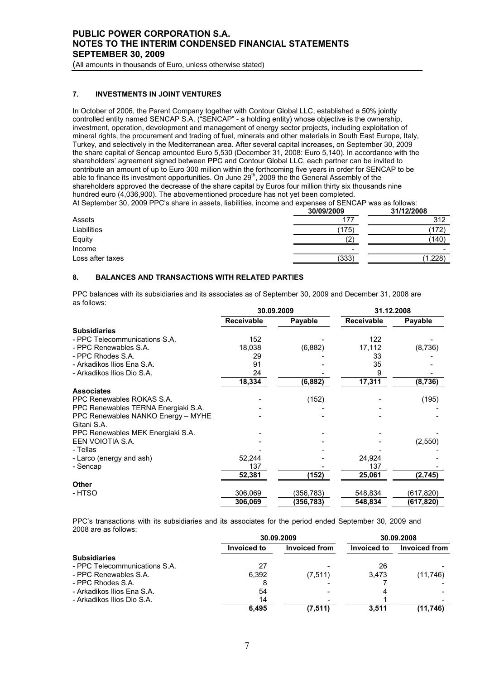(All amounts in thousands of Euro, unless otherwise stated)

# **7. INVESTMENTS IN JOINT VENTURES**

In October of 2006, the Parent Company together with Contour Global LLC, established a 50% jointly controlled entity named SENCAP S.A. ("SENCAP" - a holding entity) whose objective is the ownership, investment, operation, development and management of energy sector projects, including exploitation of mineral rights, the procurement and trading of fuel, minerals and other materials in South East Europe, Italy, Turkey, and selectively in the Mediterranean area. After several capital increases, on September 30, 2009 the share capital of Sencap amounted Euro 5,530 (December 31, 2008: Euro 5,140). In accordance with the shareholders' agreement signed between PPC and Contour Global LLC, each partner can be invited to contribute an amount of up to Euro 300 million within the forthcoming five years in order for SENCAP to be able to finance its investment opportunities. On June 29<sup>th</sup>, 2009 the the General Assembly of the shareholders approved the decrease of the share capital by Euros four million thirty six thousands nine hundred euro (4,036,900). The abovementioned procedure has not yet been completed.

At September 30, 2009 PPC's share in assets, liabilities, income and expenses of SENCAP was as follows:

|                  | 30/09/2009 | 31/12/2008 |
|------------------|------------|------------|
| Assets           | 177        | 312        |
| Liabilities      | (175)      | (172)      |
| Equity           | 0          | (140)      |
| Income           | -          |            |
| Loss after taxes | (333)      | ,228)      |
|                  |            |            |

### **8. BALANCES AND TRANSACTIONS WITH RELATED PARTIES**

PPC balances with its subsidiaries and its associates as of September 30, 2009 and December 31, 2008 are as follows:

|                                     | 30.09.2009 |           | 31.12.2008 |           |
|-------------------------------------|------------|-----------|------------|-----------|
|                                     | Receivable | Payable   | Receivable | Payable   |
| <b>Subsidiaries</b>                 |            |           |            |           |
| - PPC Telecommunications S.A.       | 152        |           | 122        |           |
| - PPC Renewables S.A.               | 18,038     | (6,882)   | 17,112     | (8,736)   |
| - PPC Rhodes S.A.                   | 29         |           | 33         |           |
| - Arkadikos Ilios Ena S.A.          | 91         |           | 35         |           |
| - Arkadikos Ilios Dio S.A.          | 24         |           |            |           |
|                                     | 18,334     | (6,882)   | 17,311     | (8,736)   |
| <b>Associates</b>                   |            |           |            |           |
| PPC Renewables ROKAS S.A.           |            | (152)     |            | (195)     |
| PPC Renewables TERNA Energiaki S.A. |            |           |            |           |
| PPC Renewables NANKO Energy - MYHE  |            |           |            |           |
| Gitani S.A.                         |            |           |            |           |
| PPC Renewables MEK Energiaki S.A.   |            |           |            |           |
| EEN VOIOTIA S.A.                    |            |           |            | (2,550)   |
| - Tellas                            |            |           |            |           |
| - Larco (energy and ash)            | 52,244     |           | 24,924     |           |
| - Sencap                            | 137        |           | 137        |           |
|                                     | 52,381     | (152)     | 25,061     | (2,745)   |
| <b>Other</b>                        |            |           |            |           |
| - HTSO                              | 306,069    | (356,783) | 548,834    | (617,820) |
|                                     | 306,069    | (356,783) | 548,834    | (617,820) |

PPC's transactions with its subsidiaries and its associates for the period ended September 30, 2009 and 2008 are as follows:

|                               |             | 30.09.2009    |             | 30.09.2008    |
|-------------------------------|-------------|---------------|-------------|---------------|
|                               | Invoiced to | Invoiced from | Invoiced to | Invoiced from |
| <b>Subsidiaries</b>           |             |               |             |               |
| - PPC Telecommunications S.A. | 27          |               | 26          |               |
| - PPC Renewables S.A.         | 6.392       | (7, 511)      | 3.473       | (11,746)      |
| - PPC Rhodes S.A.             |             |               |             |               |
| - Arkadikos Ilios Ena S.A.    | 54          |               |             |               |
| - Arkadikos Ilios Dio S.A.    | 14          |               |             |               |
|                               | 6.495       | (7, 511)      | 3.511       | (11,746)      |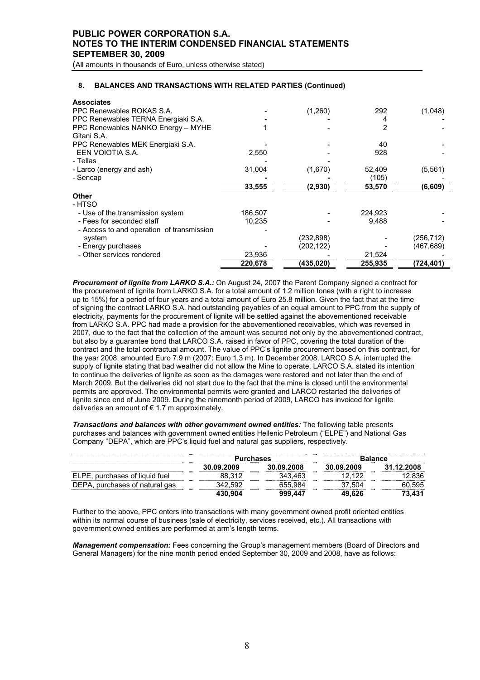(All amounts in thousands of Euro, unless otherwise stated)

### **8. BALANCES AND TRANSACTIONS WITH RELATED PARTIES (Continued)**

| <b>Associates</b>                         |         |            |         |            |
|-------------------------------------------|---------|------------|---------|------------|
| PPC Renewables ROKAS S.A.                 |         | (1,260)    | 292     | (1,048)    |
| PPC Renewables TERNA Energiaki S.A.       |         |            | 4       |            |
| PPC Renewables NANKO Energy - MYHE        |         |            | 2       |            |
| Gitani S.A.                               |         |            |         |            |
| PPC Renewables MEK Energiaki S.A.         |         |            | 40      |            |
| EEN VOIOTIA S.A.                          | 2,550   |            | 928     |            |
| - Tellas                                  |         |            |         |            |
| - Larco (energy and ash)                  | 31,004  | (1,670)    | 52,409  | (5, 561)   |
| - Sencap                                  |         |            | (105)   |            |
|                                           | 33,555  | (2,930)    | 53,570  | (6, 609)   |
| Other                                     |         |            |         |            |
| - HTSO                                    |         |            |         |            |
| - Use of the transmission system          | 186,507 |            | 224,923 |            |
| - Fees for seconded staff                 | 10,235  |            | 9,488   |            |
| - Access to and operation of transmission |         |            |         |            |
| system                                    |         | (232, 898) |         | (256,712)  |
| - Energy purchases                        |         | (202, 122) |         | (467, 689) |
| - Other services rendered                 | 23,936  |            | 21,524  |            |
|                                           | 220,678 | (435,020)  | 255,935 | (724, 401) |

*Procurement of lignite from LARKO S.A.:* On August 24, 2007 the Parent Company signed a contract for the procurement of lignite from LARKO S.A. for a total amount of 1.2 million tones (with a right to increase up to 15%) for a period of four years and a total amount of Euro 25.8 million. Given the fact that at the time of signing the contract LARKO S.A. had outstanding payables of an equal amount to PPC from the supply of electricity, payments for the procurement of lignite will be settled against the abovementioned receivable from LARKO S.A. PPC had made a provision for the abovementioned receivables, which was reversed in 2007, due to the fact that the collection of the amount was secured not only by the abovementioned contract, but also by a guarantee bond that LARCO S.A. raised in favor of PPC, covering the total duration of the contract and the total contractual amount. The value of PPC's lignite procurement based on this contract, for the year 2008, amounted Euro 7.9 m (2007: Euro 1.3 m). In December 2008, LARCO S.A. interrupted the supply of lignite stating that bad weather did not allow the Mine to operate. LARCO S.A. stated its intention to continue the deliveries of lignite as soon as the damages were restored and not later than the end of March 2009. But the deliveries did not start due to the fact that the mine is closed until the environmental permits are approved. The environmental permits were granted and LARCO restarted the deliveries of lignite since end of June 2009. During the ninemonth period of 2009, LARCO has invoiced for lignite deliveries an amount of € 1.7 m approximately.

*Transactions and balances with other government owned entities:* The following table presents purchases and balances with government owned entities Hellenic Petroleum ("ELPE") and National Gas Company "DEPA", which are PPC's liquid fuel and natural gas suppliers, respectively.

|                                | <b>Purchases</b> |            | <b>Balance</b> |            |
|--------------------------------|------------------|------------|----------------|------------|
|                                | 30.09.2009       | 30.09.2008 | 30.09.2009     | 31.12.2008 |
| ELPE, purchases of liquid fuel | 88.312           | 343.463    | 12.122         | 12.836     |
| DEPA, purchases of natural gas | 342.592          | 655.984    | 37.504         | 60.595     |
|                                | 430.904          | 999.447    | 49.626         | 73.431     |

Further to the above, PPC enters into transactions with many government owned profit oriented entities within its normal course of business (sale of electricity, services received, etc.). All transactions with government owned entities are performed at arm's length terms.

*Management compensation:* Fees concerning the Group's management members (Board of Directors and General Managers) for the nine month period ended September 30, 2009 and 2008, have as follows: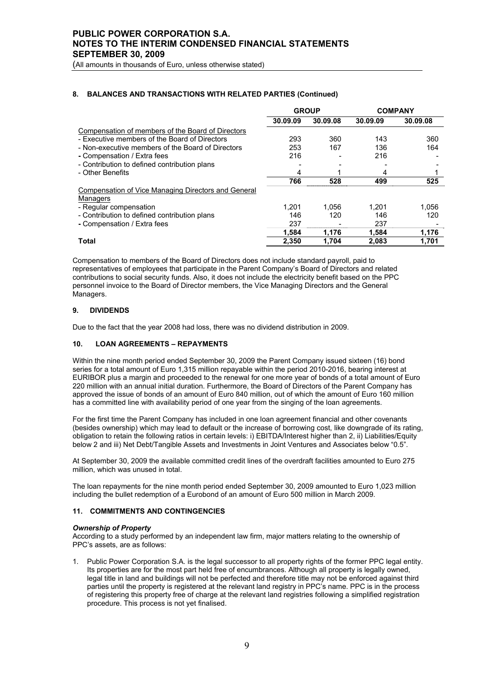# **8. BALANCES AND TRANSACTIONS WITH RELATED PARTIES (Continued)**

|                                                            | <b>GROUP</b> |          |          | <b>COMPANY</b> |
|------------------------------------------------------------|--------------|----------|----------|----------------|
|                                                            | 30.09.09     | 30.09.08 | 30.09.09 | 30.09.08       |
| Compensation of members of the Board of Directors          |              |          |          |                |
| - Executive members of the Board of Directors              | 293          | 360      | 143      | 360            |
| - Non-executive members of the Board of Directors          | 253          | 167      | 136      | 164            |
| - Compensation / Extra fees                                | 216          |          | 216      |                |
| - Contribution to defined contribution plans               |              |          |          |                |
| - Other Benefits                                           | 4            |          | 4        |                |
|                                                            | 766          | 528      | 499      | 525            |
| <b>Compensation of Vice Managing Directors and General</b> |              |          |          |                |
| Managers                                                   |              |          |          |                |
| - Regular compensation                                     | 1.201        | 1.056    | 1.201    | 1,056          |
| - Contribution to defined contribution plans               | 146          | 120      | 146      | 120            |
| - Compensation / Extra fees                                | 237          |          | 237      |                |
|                                                            | 1,584        | 1,176    | 1,584    | 1,176          |
| Total                                                      | 2.350        | 1.704    | 2.083    | 1.701          |

Compensation to members of the Board of Directors does not include standard payroll, paid to representatives of employees that participate in the Parent Company's Board of Directors and related contributions to social security funds. Also, it does not include the electricity benefit based on the PPC personnel invoice to the Board of Director members, the Vice Managing Directors and the General Managers.

# **9. DIVIDENDS**

Due to the fact that the year 2008 had loss, there was no dividend distribution in 2009.

### **10. LOAN AGREEMENTS – REPAYMENTS**

Within the nine month period ended September 30, 2009 the Parent Company issued sixteen (16) bond series for a total amount of Euro 1,315 million repayable within the period 2010-2016, bearing interest at EURIBOR plus a margin and proceeded to the renewal for one more year of bonds of a total amount of Euro 220 million with an annual initial duration. Furthermore, the Board of Directors of the Parent Company has approved the issue of bonds of an amount of Euro 840 million, out of which the amount of Euro 160 million has a committed line with availability period of one year from the singing of the loan agreements.

For the first time the Parent Company has included in one loan agreement financial and other covenants (besides ownership) which may lead to default or the increase of borrowing cost, like downgrade of its rating, obligation to retain the following ratios in certain levels: i) EBITDA/Interest higher than 2, ii) Liabilities/Equity below 2 and iii) Net Debt/Tangible Assets and Investments in Joint Ventures and Associates below "0.5".

At September 30, 2009 the available committed credit lines of the overdraft facilities amounted to Euro 275 million, which was unused in total.

The loan repayments for the nine month period ended September 30, 2009 amounted to Euro 1,023 million including the bullet redemption of a Eurobond of an amount of Euro 500 million in March 2009.

### **11. COMMITMENTS AND CONTINGENCIES**

### *Ownership of Property*

According to a study performed by an independent law firm, major matters relating to the ownership of PPC's assets, are as follows:

1. Public Power Corporation S.A. is the legal successor to all property rights of the former PPC legal entity. Its properties are for the most part held free of encumbrances. Although all property is legally owned, legal title in land and buildings will not be perfected and therefore title may not be enforced against third parties until the property is registered at the relevant land registry in PPC's name. PPC is in the process of registering this property free of charge at the relevant land registries following a simplified registration procedure. This process is not yet finalised.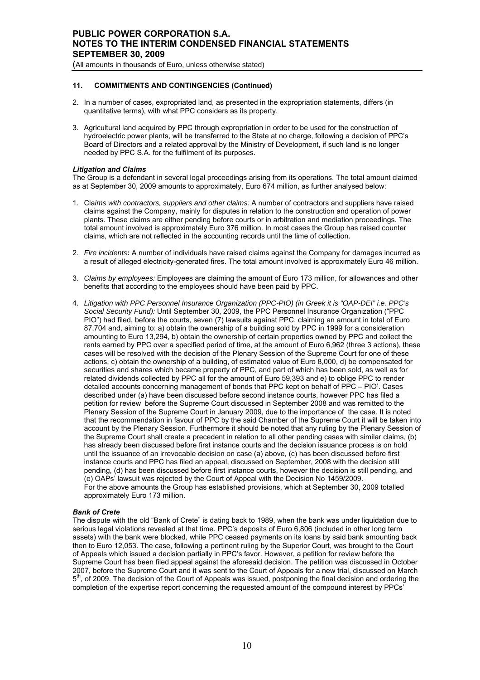### **11. COMMITMENTS AND CONTINGENCIES (Continued)**

- 2. In a number of cases, expropriated land, as presented in the expropriation statements, differs (in quantitative terms), with what PPC considers as its property.
- 3. Agricultural land acquired by PPC through expropriation in order to be used for the construction of hydroelectric power plants, will be transferred to the State at no charge, following a decision of PPC's Board of Directors and a related approval by the Ministry of Development, if such land is no longer needed by PPC S.A. for the fulfilment of its purposes.

### *Litigation and Claims*

The Group is a defendant in several legal proceedings arising from its operations. The total amount claimed as at September 30, 2009 amounts to approximately, Euro 674 million, as further analysed below:

- 1. Cla*ims with contractors, suppliers and other claims:* A number of contractors and suppliers have raised claims against the Company, mainly for disputes in relation to the construction and operation of power plants. These claims are either pending before courts or in arbitration and mediation proceedings. The total amount involved is approximately Euro 376 million. In most cases the Group has raised counter claims, which are not reflected in the accounting records until the time of collection.
- 2. *Fire incidents***:** A number of individuals have raised claims against the Company for damages incurred as a result of alleged electricity-generated fires. The total amount involved is approximately Euro 46 million.
- 3. *Claims by employees:* Employees are claiming the amount of Euro 173 million, for allowances and other benefits that according to the employees should have been paid by PPC.
- 4. *Litigation with PPC Personnel Insurance Organization (PPC-PIO) (in Greek it is "OAP-DEI" i.e. PPC's Social Security Fund):* Until September 30, 2009, the PPC Personnel Insurance Organization ("PPC PIO") had filed, before the courts, seven (7) lawsuits against PPC, claiming an amount in total of Euro 87,704 and, aiming to: a) obtain the ownership of a building sold by PPC in 1999 for a consideration amounting to Euro 13,294, b) obtain the ownership of certain properties owned by PPC and collect the rents earned by PPC over a specified period of time, at the amount of Euro 6,962 (three 3 actions), these cases will be resolved with the decision of the Plenary Session of the Supreme Court for one of these actions, c) obtain the ownership of a building, of estimated value of Euro 8,000, d) be compensated for securities and shares which became property of PPC, and part of which has been sold, as well as for related dividends collected by PPC all for the amount of Euro 59,393 and e) to oblige PPC to render detailed accounts concerning management of bonds that PPC kept on behalf of PPC – PIO'. Cases described under (a) have been discussed before second instance courts, however PPC has filed a petition for review before the Supreme Court discussed in September 2008 and was remitted to the Plenary Session of the Supreme Court in January 2009, due to the importance of the case. It is noted that the recommendation in favour of PPC by the said Chamber of the Supreme Court it will be taken into account by the Plenary Session. Furthermore it should be noted that any ruling by the Plenary Session of the Supreme Court shall create a precedent in relation to all other pending cases with similar claims, (b) has already been discussed before first instance courts and the decision issuance process is on hold until the issuance of an irrevocable decision on case (a) above, (c) has been discussed before first instance courts and PPC has filed an appeal, discussed on September, 2008 with the decision still pending, (d) has been discussed before first instance courts, however the decision is still pending, and (e) OAPs' lawsuit was rejected by the Court of Appeal with the Decision No 1459/2009. For the above amounts the Group has established provisions, which at September 30, 2009 totalled approximately Euro 173 million.

### *Bank of Crete*

The dispute with the old "Bank of Crete" is dating back to 1989, when the bank was under liquidation due to serious legal violations revealed at that time. PPC's deposits of Euro 6,806 (included in other long term assets) with the bank were blocked, while PPC ceased payments on its loans by said bank amounting back then to Euro 12,053. The case, following a pertinent ruling by the Superior Court, was brought to the Court of Appeals which issued a decision partially in PPC's favor. However, a petition for review before the Supreme Court has been filed appeal against the aforesaid decision. The petition was discussed in October 2007, before the Supreme Court and it was sent to the Court of Appeals for a new trial, discussed on March  $5<sup>th</sup>$ , of 2009. The decision of the Court of Appeals was issued, postponing the final decision and ordering the completion of the expertise report concerning the requested amount of the compound interest by PPCs'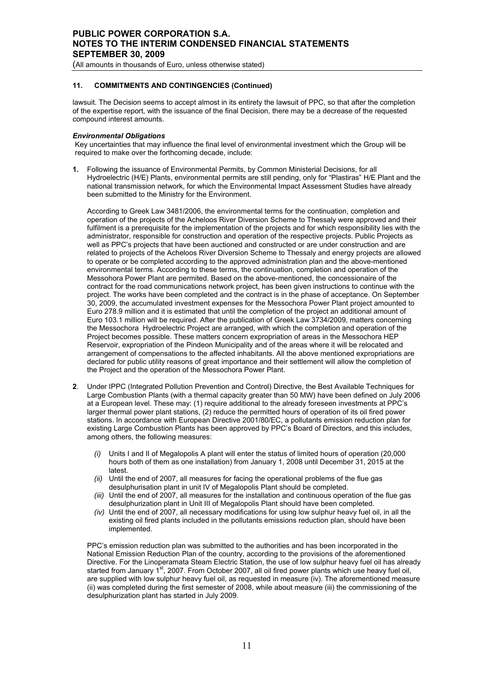### **11. COMMITMENTS AND CONTINGENCIES (Continued)**

lawsuit. The Decision seems to accept almost in its entirety the lawsuit of PPC, so that after the completion of the expertise report, with the issuance of the final Decision, there may be a decrease of the requested compound interest amounts.

### *Environmental Obligations*

Key uncertainties that may influence the final level of environmental investment which the Group will be required to make over the forthcoming decade, include:

**1.** Following the issuance of Environmental Permits, by Common Ministerial Decisions, for all Hydroelectric (H/E) Plants, environmental permits are still pending, only for "Plastiras" H/E Plant and the national transmission network, for which the Environmental Impact Assessment Studies have already been submitted to the Ministry for the Environment.

According to Greek Law 3481/2006, the environmental terms for the continuation, completion and operation of the projects of the Acheloos River Diversion Scheme to Thessaly were approved and their fulfilment is a prerequisite for the implementation of the projects and for which responsibility lies with the administrator, responsible for construction and operation of the respective projects. Public Projects as well as PPC's projects that have been auctioned and constructed or are under construction and are related to projects of the Acheloos River Diversion Scheme to Thessaly and energy projects are allowed to operate or be completed according to the approved administration plan and the above-mentioned environmental terms. According to these terms, the continuation, completion and operation of the Messohora Power Plant are permited. Based on the above-mentioned, the concessionaire of the contract for the road communications network project, has been given instructions to continue with the project. The works have been completed and the contract is in the phase of acceptance. On September 30, 2009, the accumulated investment expenses for the Messochora Power Plant project amounted to Euro 278.9 million and it is estimated that until the completion of the project an additional amount of Euro 103.1 million will be required. After the publication of Greek Law 3734/2009, matters concerning the Messochora Hydroelectric Project are arranged, with which the completion and operation of the Project becomes possible. These matters concern expropriation of areas in the Messochora HEP Reservoir, expropriation of the Pindeon Municipality and of the areas where it will be relocated and arrangement of compensations to the affected inhabitants. All the above mentioned expropriations are declared for public utility reasons of great importance and their settlement will allow the completion of the Project and the operation of the Messochora Power Plant.

- **2**. Under IPPC (Integrated Pollution Prevention and Control) Directive, the Best Available Techniques for Large Combustion Plants (with a thermal capacity greater than 50 MW) have been defined on July 2006 at a European level. These may: (1) require additional to the already foreseen investments at PPC's larger thermal power plant stations, (2) reduce the permitted hours of operation of its oil fired power stations. In accordance with European Directive 2001/80/EC, a pollutants emission reduction plan for existing Large Combustion Plants has been approved by PPC's Board of Directors, and this includes, among others, the following measures:
	- *(i)* Units I and II of Megalopolis A plant will enter the status of limited hours of operation (20,000 hours both of them as one installation) from January 1, 2008 until December 31, 2015 at the latest.
	- *(ii)* Until the end of 2007, all measures for facing the operational problems of the flue gas desulphurisation plant in unit IV of Megalopolis Plant should be completed.
	- *(iii)* Until the end of 2007, all measures for the installation and continuous operation of the flue gas desulphurization plant in Unit III of Megalopolis Plant should have been completed.
	- *(iv)* Until the end of 2007, all necessary modifications for using low sulphur heavy fuel oil, in all the existing oil fired plants included in the pollutants emissions reduction plan, should have been implemented.

PPC's emission reduction plan was submitted to the authorities and has been incorporated in the National Emission Reduction Plan of the country, according to the provisions of the aforementioned Directive. For the Linoperamata Steam Electric Station, the use of low sulphur heavy fuel oil has already started from January 1<sup>st</sup>, 2007. From October 2007, all oil fired power plants which use heavy fuel oil, are supplied with low sulphur heavy fuel oil, as requested in measure (iv). The aforementioned measure (ii) was completed during the first semester of 2008, while about measure (iii) the commissioning of the desulphurization plant has started in July 2009.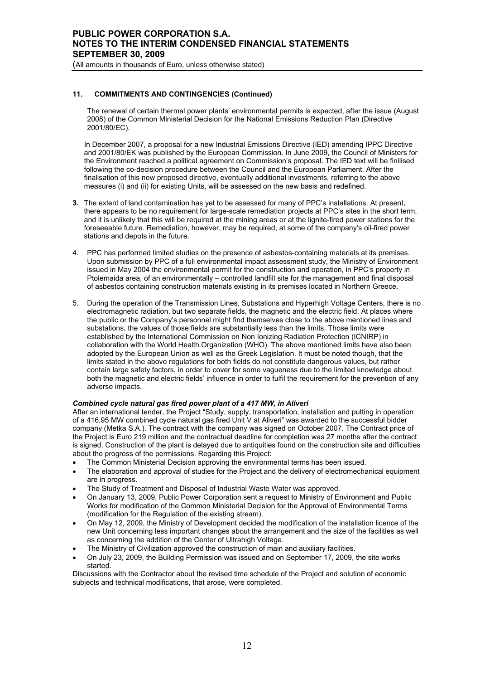### **11. COMMITMENTS AND CONTINGENCIES (Continued)**

The renewal of certain thermal power plants' environmental permits is expected, after the issue (August 2008) of the Common Ministerial Decision for the National Emissions Reduction Plan (Directive 2001/80/EC).

In December 2007, a proposal for a new Industrial Emissions Directive (IED) amending IPPC Directive and 2001/80/EK was published by the European Commission. In June 2009, the Council of Ministers for the Environment reached a political agreement on Commission's proposal. The IED text will be finilised following the co-decision procedure between the Council and the European Parliament. After the finalisation of this new proposed directive, eventually additional investments, referring to the above measures (i) and (ii) for existing Units, will be assessed on the new basis and redefined.

- **3.** The extent of land contamination has yet to be assessed for many of PPC's installations. At present, there appears to be no requirement for large-scale remediation projects at PPC's sites in the short term, and it is unlikely that this will be required at the mining areas or at the lignite-fired power stations for the foreseeable future. Remediation, however, may be required, at some of the company's oil-fired power stations and depots in the future.
- 4. PPC has performed limited studies on the presence of asbestos-containing materials at its premises. Upon submission by PPC of a full environmental impact assessment study, the Ministry of Environment issued in May 2004 the environmental permit for the construction and operation, in PPC's property in Ptolemaida area, of an environmentally – controlled landfill site for the management and final disposal of asbestos containing construction materials existing in its premises located in Northern Greece.
- 5. During the operation of the Transmission Lines, Substations and Hyperhigh Voltage Centers, there is no electromagnetic radiation, but two separate fields, the magnetic and the electric field. At places where the public or the Company's personnel might find themselves close to the above mentioned lines and substations, the values of those fields are substantially less than the limits. Those limits were established by the International Commission on Non Ionizing Radiation Protection (ICNIRP) in collaboration with the World Health Organization (WHO). The above mentioned limits have also been adopted by the European Union as well as the Greek Legislation. It must be noted though, that the limits stated in the above regulations for both fields do not constitute dangerous values, but rather contain large safety factors, in order to cover for some vagueness due to the limited knowledge about both the magnetic and electric fields' influence in order to fulfil the requirement for the prevention of any adverse impacts.

### *Combined cycle natural gas fired power plant of a 417 MW, in Aliveri*

After an international tender, the Project "Study, supply, transportation, installation and putting in operation of a 416.95 MW combined cycle natural gas fired Unit V at Aliveri" was awarded to the successful bidder company (Metka S.A.). The contract with the company was signed on October 2007. The Contract price of the Project is Euro 219 million and the contractual deadline for completion was 27 months after the contract is signed. Construction of the plant is delayed due to antiquities found on the construction site and difficulties about the progress of the permissions. Regarding this Project:

- The Common Ministerial Decision approving the environmental terms has been issued.
- The elaboration and approval of studies for the Project and the delivery of electromechanical equipment are in progress.
- The Study of Treatment and Disposal of Industrial Waste Water was approved.
- On January 13, 2009, Public Power Corporation sent a request to Ministry of Environment and Public Works for modification of the Common Ministerial Decision for the Approval of Environmental Terms (modification for the Regulation of the existing stream).
- On May 12, 2009, the Ministry of Development decided the modification of the installation licence of the new Unit concerning less important changes about the arrangement and the size of the facilities as well as concerning the addition of the Center of Ultrahigh Voltage.
- The Ministry of Civilization approved the construction of main and auxiliary facilities.
- On July 23, 2009, the Building Permission was issued and on September 17, 2009, the site works started.

Discussions with the Contractor about the revised time schedule of the Project and solution of economic subjects and technical modifications, that arose, were completed.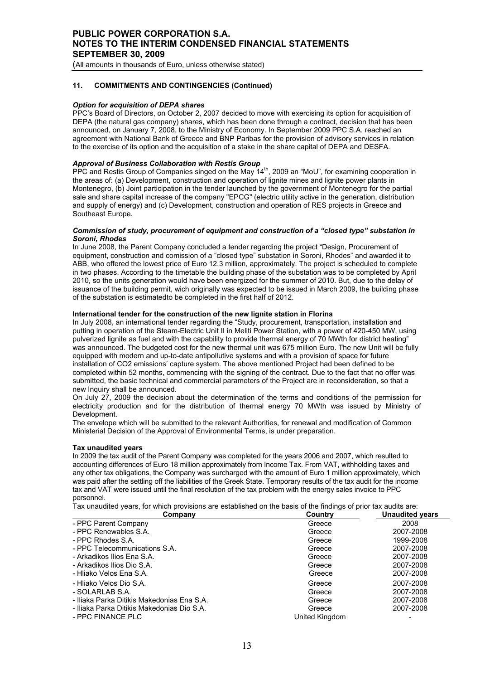(All amounts in thousands of Euro, unless otherwise stated)

### **11. COMMITMENTS AND CONTINGENCIES (Continued)**

### *Option for acquisition of DEPA shares*

PPC's Board of Directors, on October 2, 2007 decided to move with exercising its option for acquisition of DEPA (the natural gas company) shares, which has been done through a contract, decision that has been announced, on January 7, 2008, to the Ministry of Economy. In September 2009 PPC S.A. reached an agreement with National Bank of Greece and BNP Paribas for the provision of advisory services in relation to the exercise of its option and the acquisition of a stake in the share capital of DEPA and DESFA.

#### *Approval of Business Collaboration with Restis Group*

PPC and Restis Group of Companies singed on the May 14th, 2009 an "MoU", for examining cooperation in the areas of: (a) Development, construction and operation of lignite mines and lignite power plants in Montenegro, (b) Joint participation in the tender launched by the government of Montenegro for the partial sale and share capital increase of the company "EPCG" (electric utility active in the generation, distribution and supply of energy) and (c) Development, construction and operation of RES projects in Greece and Southeast Europe.

#### *Commission of study, procurement of equipment and construction of a "closed type" substation in Soroni, Rhodes*

In June 2008, the Parent Company concluded a tender regarding the project "Design, Procurement of equipment, construction and comission of a "closed type" substation in Soroni, Rhodes" and awarded it to ABB, who offered the lowest price of Euro 12.3 million, approximately. The project is scheduled to complete in two phases. According to the timetable the building phase of the substation was to be completed by April 2010, so the units generation would have been energized for the summer of 2010. But, due to the delay of issuance of the building permit, wich originally was expected to be issued in March 2009, the building phase of the substation is estimatedto be completed in the first half of 2012.

### **International tender for the construction of the new lignite station in Florina**

In July 2008, an international tender regarding the "Study, procurement, transportation, installation and putting in operation of the Steam-Electric Unit II in Meliti Power Station, with a power of 420-450 MW, using pulverized lignite as fuel and with the capability to provide thermal energy of 70 MWth for district heating" was announced. The budgeted cost for the new thermal unit was 675 million Euro. The new Unit will be fully equipped with modern and up-to-date antipollutive systems and with a provision of space for future installation of CO2 emissions' capture system. The above mentioned Project had been defined to be completed within 52 months, commencing with the signing of the contract. Due to the fact that no offer was submitted, the basic technical and commercial parameters of the Project are in reconsideration, so that a new Inquiry shall be announced.

On July 27, 2009 the decision about the determination of the terms and conditions of the permission for electricity production and for the distribution of thermal energy 70 MWth was issued by Μinistry of Development.

The envelope which will be submitted to the relevant Authorities, for renewal and modification of Common Ministerial Decision of the Approval of Environmental Terms, is under preparation.

### **Tax unaudited years**

In 2009 the tax audit of the Parent Company was completed for the years 2006 and 2007, which resulted to accounting differences of Euro 18 million approximately from Income Tax. From VAT, withholding taxes and any other tax obligations, the Company was surcharged with the amount of Euro 1 million approximately, which was paid after the settling off the liabilities of the Greek State. Temporary results of the tax audit for the income tax and VAT were issued until the final resolution of the tax problem with the energy sales invoice to PPC personnel.

Tax unaudited years, for which provisions are established on the basis of the findings of prior tax audits are:

| Company                                    | Country        | <b>Unaudited years</b> |
|--------------------------------------------|----------------|------------------------|
| - PPC Parent Company                       | Greece         | 2008                   |
| - PPC Renewables S.A.                      | Greece         | 2007-2008              |
| - PPC Rhodes S.A.                          | Greece         | 1999-2008              |
| - PPC Telecommunications S.A.              | Greece         | 2007-2008              |
| - Arkadikos Ilios Ena S.A.                 | Greece         | 2007-2008              |
| - Arkadikos Ilios Dio S.A.                 | Greece         | 2007-2008              |
| - Hliako Velos Ena S.A.                    | Greece         | 2007-2008              |
| - Hliako Velos Dio S.A.                    | Greece         | 2007-2008              |
| - SOLARLAB S.A.                            | Greece         | 2007-2008              |
| - Iliaka Parka Ditikis Makedonias Ena S.A. | Greece         | 2007-2008              |
| - Iliaka Parka Ditikis Makedonias Dio S.A. | Greece         | 2007-2008              |
| - PPC FINANCE PLC                          | United Kingdom |                        |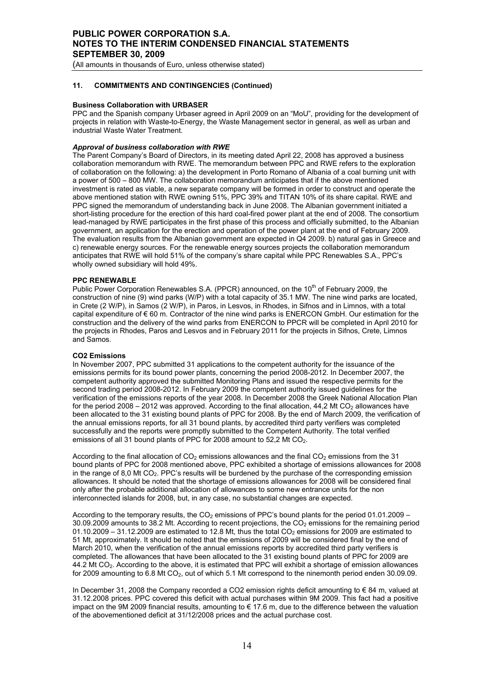(All amounts in thousands of Euro, unless otherwise stated)

### **11. COMMITMENTS AND CONTINGENCIES (Continued)**

### **Business Collaboration with URBASER**

PPC and the Spanish company Urbaser agreed in April 2009 on an "MoU", providing for the development of projects in relation with Waste-to-Energy, the Waste Management sector in general, as well as urban and industrial Waste Water Treatment.

### *Approval of business collaboration with RWE*

The Parent Company's Board of Directors, in its meeting dated April 22, 2008 has approved a business collaboration memorandum with RWE. The memorandum between PPC and RWE refers to the exploration of collaboration on the following: a) the development in Porto Romano of Albania of a coal burning unit with a power of 500 – 800 MW. The collaboration memorandum anticipates that if the above mentioned investment is rated as viable, a new separate company will be formed in order to construct and operate the above mentioned station with RWE owning 51%, PPC 39% and TITAN 10% of its share capital. RWE and PPC signed the memorandum of understanding back in June 2008. The Albanian government initiated a short-listing procedure for the erection of this hard coal-fired power plant at the end of 2008. The consortium lead-managed by RWE participates in the first phase of this process and officially submitted, to the Albanian government, an application for the erection and operation of the power plant at the end of February 2009. The evaluation results from the Albanian government are expected in Q4 2009. b) natural gas in Greece and c) renewable energy sources. For the renewable energy sources projects the collaboration memorandum anticipates that RWE will hold 51% of the company's share capital while PPC Renewables S.A., PPC's wholly owned subsidiary will hold 49%.

### **PPC RENEWABLE**

Public Power Corporation Renewables S.A. (PPCR) announced, on the 10<sup>th</sup> of February 2009, the construction of nine (9) wind parks (W/P) with a total capacity of 35.1 MW. The nine wind parks are located, in Crete (2 W/P), in Samos (2 W/P), in Paros, in Lesvos, in Rhodes, in Sifnos and in Limnos, with a total capital expenditure of  $\epsilon$  60 m. Contractor of the nine wind parks is ENERCON GmbH. Our estimation for the construction and the delivery of the wind parks from ENERCON to PPCR will be completed in April 2010 for the projects in Rhodes, Paros and Lesvos and in February 2011 for the projects in Sifnos, Crete, Limnos and Samos.

### **CO2 Emissions**

In November 2007, PPC submitted 31 applications to the competent authority for the issuance of the emissions permits for its bound power plants, concerning the period 2008-2012. In December 2007, the competent authority approved the submitted Monitoring Plans and issued the respective permits for the second trading period 2008-2012. In February 2009 the competent authority issued guidelines for the verification of the emissions reports of the year 2008. In December 2008 the Greek National Allocation Plan for the period 2008 – 2012 was approved. According to the final allocation, 44,2 Mt CO<sub>2</sub> allowances have been allocated to the 31 existing bound plants of PPC for 2008. By the end of March 2009, the verification of the annual emissions reports, for all 31 bound plants, by accredited third party verifiers was completed successfully and the reports were promptly submitted to the Competent Authority. The total verified emissions of all 31 bound plants of PPC for 2008 amount to 52,2 Mt CO<sub>2</sub>.

According to the final allocation of  $CO<sub>2</sub>$  emissions allowances and the final  $CO<sub>2</sub>$  emissions from the 31 bound plants of PPC for 2008 mentioned above, PPC exhibited a shortage of emissions allowances for 2008 in the range of 8,0 Mt CO<sub>2</sub>. PPC's results will be burdened by the purchase of the corresponding emission allowances. It should be noted that the shortage of emissions allowances for 2008 will be considered final only after the probable additional allocation of allowances to some new entrance units for the non interconnected islands for 2008, but, in any case, no substantial changes are expected.

According to the temporary results, the  $CO<sub>2</sub>$  emissions of PPC's bound plants for the period 01.01.2009 – 30.09.2009 amounts to 38.2 Mt. According to recent projections, the CO<sub>2</sub> emissions for the remaining period  $01.10.2009 - 31.12.2009$  are estimated to 12.8 Mt, thus the total CO<sub>2</sub> emissions for 2009 are estimated to 51 Mt, approximately. It should be noted that the emissions of 2009 will be considered final by the end of March 2010, when the verification of the annual emissions reports by accredited third party verifiers is completed. The allowances that have been allocated to the 31 existing bound plants of PPC for 2009 are 44.2 Mt CO2. According to the above, it is estimated that PPC will exhibit a shortage of emission allowances for 2009 amounting to 6.8 Mt CO<sub>2</sub>, out of which 5.1 Mt correspond to the ninemonth period enden 30.09.09.

In December 31, 2008 the Company recorded a CO2 emission rights deficit amounting to € 84 m, valued at 31.12.2008 prices. PPC covered this deficit with actual purchases within 9M 2009. This fact had a positive impact on the 9M 2009 financial results, amounting to € 17.6 m, due to the difference between the valuation of the abovementioned deficit at 31/12/2008 prices and the actual purchase cost.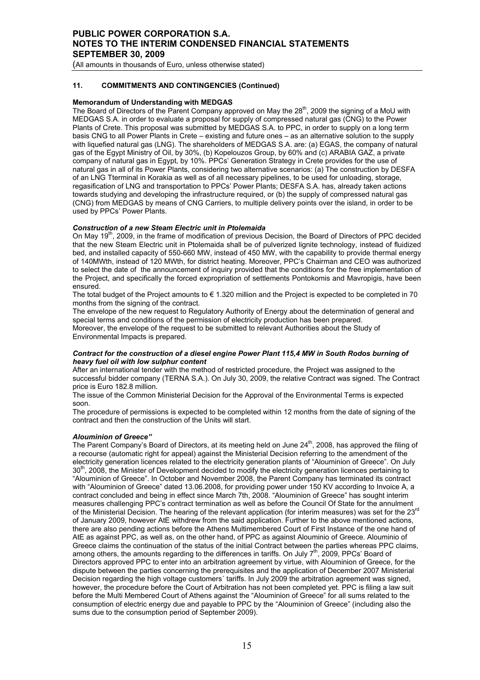(All amounts in thousands of Euro, unless otherwise stated)

### **11. COMMITMENTS AND CONTINGENCIES (Continued)**

### **Memorandum of Understanding with MEDGAS**

The Board of Directors of the Parent Company approved on May the 28<sup>th</sup>, 2009 the signing of a MoU with MEDGAS S.A. in order to evaluate a proposal for supply of compressed natural gas (CNG) to the Power Plants of Crete. This proposal was submitted by MEDGAS S.A. to PPC, in order to supply on a long term basis CNG to all Power Plants in Crete – existing and future ones – as an alternative solution to the supply with liquefied natural gas (LNG). The shareholders of MEDGAS S.A. are: (a) EGAS, the company of natural gas of the Egypt Ministry of Oil, by 30%, (b) Kopelouzos Group, by 60% and (c) ARABIA GAZ, a private company of natural gas in Egypt, by 10%. PPCs' Generation Strategy in Crete provides for the use of natural gas in all of its Power Plants, considering two alternative scenarios: (a) The construction by DESFA of an LNG Tterminal in Korakia as well as of all necessary pipelines, to be used for unloading, storage, regasification of LNG and transportation to PPCs' Power Plants; DESFA S.A. has, already taken actions towards studying and developing the infrastructure required, or (b) the supply of compressed natural gas (CNG) from MEDGAS by means of CNG Carriers, to multiple delivery points over the island, in order to be used by PPCs' Power Plants.

### *Construction of a new Steam Electric unit in Ptolemaida*

On May 19<sup>th</sup>, 2009, in the frame of modification of previous Decision, the Board of Directors of PPC decided that the new Steam Electric unit in Ptolemaida shall be of pulverized lignite technology, instead of fluidized bed, and installed capacity of 550-660 MW, instead of 450 ΜW, with the capability to provide thermal energy of 140MWth, instead of 120 MWth, for district heating. Moreover, PPC's Chairman and CEO was authorized to select the date of the announcement of inquiry provided that the conditions for the free implementation of the Project, and specifically the forced expropriation of settlements Pontokomis and Mavropigis, have been ensured.

The total budget of the Project amounts to  $\epsilon$  1.320 million and the Project is expected to be completed in 70 months from the signing of the contract.

The envelope of the new request to Regulatory Authority of Energy about the determination of general and special terms and conditions of the permission of electricity production has been prepared. Moreover, the envelope of the request to be submitted to relevant Authorities about the Study of Environmental Impacts is prepared.

#### *Contract for the construction of a diesel engine Power Plant 115,4 ΜW in South Rodos burning of heavy fuel oil with low sulphur content*

After an international tender with the method of restricted procedure, the Project was assigned to the successful bidder company (TERNA S.A.). On July 30, 2009, the relative Contract was signed. Τhe Contract price is Euro 182.8 million.

The issue of the Common Ministerial Decision for the Approval of the Environmental Terms is expected soon.

The procedure of permissions is expected to be completed within 12 months from the date of signing of the contract and then the construction of the Units will start.

### *Αlouminion of Greece"*

The Parent Company's Board of Directors, at its meeting held on June 24<sup>th</sup>, 2008, has approved the filing of a recourse (automatic right for appeal) against the Ministerial Decision referring to the amendment of the electricity generation licences related to the electricity generation plants of "Alouminion of Greece". On July 30<sup>th</sup>, 2008, the Minister of Development decided to modify the electricity generation licences pertaining to "Alouminion of Greece". In October and November 2008, the Parent Company has terminated its contract with "Alouminion of Greece" dated 13.06.2008, for providing power under 150 KV according to Invoice A, a contract concluded and being in effect since March 7th, 2008. "Alouminion of Greece" has sought interim measures challenging PPC's contract termination as well as before the Council Of State for the annulment of the Ministerial Decision. The hearing of the relevant application (for interim measures) was set for the 23rd of January 2009, however AtE withdrew from the said application. Further to the above mentioned actions, there are also pending actions before the Athens Multimembered Court of First Instance of the one hand of AtE as against PPC, as well as, on the other hand, of PPC as against Alouminio of Greece. Alouminio of Greece claims the continuation of the status of the initial Contract between the parties whereas PPC claims, among others, the amounts regarding to the differences in tariffs. On July  $7<sup>th</sup>$ , 2009, PPCs' Board of Directors approved PPC to enter into an arbitration agreement by virtue, with Alouminion of Greece, for the dispute between the parties concerning the prerequisites and the application of December 2007 Ministerial Decision regarding the high voltage customers´ tariffs. In July 2009 the arbitration agreement was signed, however, the procedure before the Court of Arbitration has not been completed yet. PPC is filing a law suit before the Multi Membered Court of Athens against the "Alouminion of Greece" for all sums related to the consumption of electric energy due and payable to PPC by the "Alouminion of Greece" (including also the sums due to the consumption period of September 2009).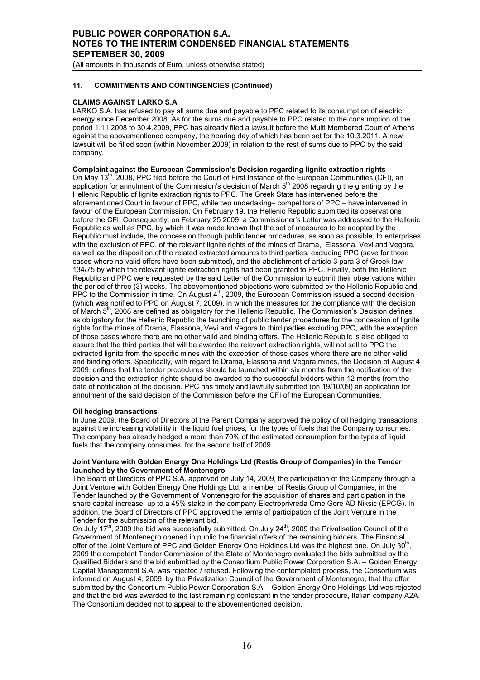(All amounts in thousands of Euro, unless otherwise stated)

### **11. COMMITMENTS AND CONTINGENCIES (Continued)**

### **CLAIMS AGAINST LARKO S.A.**

LARKO S.A. has refused to pay all sums due and payable to PPC related to its consumption of electric energy since December 2008. As for the sums due and payable to PPC related to the consumption of the period 1.11.2008 to 30.4.2009, PPC has already filed a lawsuit before the Multi Membered Court of Athens against the abovementioned company, the hearing day of which has been set for the 10.3.2011. A new lawsuit will be filled soon (within November 2009) in relation to the rest of sums due to PPC by the said company.

# **Complaint against the European Commission's Decision regarding lignite extraction rights**

On May 13<sup>th</sup>, 2008, PPC filed before the Court of First Instance of the European Communities (CFI), an application for annulment of the Commission's decision of March  $5<sup>th</sup>$  2008 regarding the granting by the Hellenic Republic of lignite extraction rights to PPC. The Greek State has intervened before the aforementioned Court in favour of PPC, while two undertaking– competitors of PPC – have intervened in favour of the European Commission. On February 19, the Hellenic Republic submitted its observations before the CFI. Consequently, on February 25 2009, a Commissioner's Letter was addressed to the Hellenic Republic as well as PPC, by which it was made known that the set of measures to be adopted by the Republic must include, the concession through public tender procedures, as soon as possible, to enterprises with the exclusion of PPC, of the relevant lignite rights of the mines of Drama. Elassona, Vevi and Vegora, as well as the disposition of the related extracted amounts to third parties, excluding PPC (save for those cases where no valid offers have been submitted), and the abolishment of article 3 para 3 of Greek law 134/75 by which the relevant lignite extraction rights had been granted to PPC. Finally, both the Hellenic Republic and PPC were requested by the said Letter of the Commission to submit their observations within the period of three (3) weeks. The abovementioned objections were submitted by the Hellenic Republic and PPC to the Commission in time. On August  $4<sup>th</sup>$ , 2009, the European Commission issued a second decision (which was notified to PPC on August 7, 2009), in which the measures for the compliance with the decision of March 5<sup>th</sup>, 2008 are defined as obligatory for the Hellenic Republic. The Commission's Decision defines as obligatory for the Hellenic Republic the launching of public tender procedures for the concession of lignite rights for the mines of Drama, Elassona, Vevi and Vegora to third parties excluding PPC, with the exception of those cases where there are no other valid and binding offers. The Hellenic Republic is also obliged to assure that the third parties that will be awarded the relevant extraction rights, will not sell to PPC the extracted lignite from the specific mines with the exception of those cases where there are no other valid and binding offers. Specifically, with regard to Drama, Elassona and Vegora mines, the Decision of August 4 2009, defines that the tender procedures should be launched within six months from the notification of the decision and the extraction rights should be awarded to the successful bidders within 12 months from the date of notification of the decision. PPC has timely and lawfully submitted (on 19/10/09) an application for annulment of the said decision of the Commission before the CFI of the European Communities.

### **Oil hedging transactions**

In June 2009, the Board of Directors of the Parent Company approved the policy of oil hedging transactions against the increasing volatility in the liquid fuel prices, for the types of fuels that the Company consumes. The company has already hedged a more than 70% of the estimated consumption for the types of liquid fuels that the company consumes, for the second half of 2009.

### **Joint Venture with Golden Energy One Holdings Ltd (Restis Group of Companies) in the Τender launched by the Government of Montenegro**

The Board of Directors of PPC S.A. approved on July 14, 2009, the participation of the Company through a Joint Venture with Golden Energy One Holdings Ltd, a member of Restis Group of Companies, in the Τender launched by the Government of Montenegro for the acquisition of shares and participation in the share capital increase, up to a 45% stake in the company Electroprivreda Crne Gore AD Niksic (EPCG). In addition, the Board of Directors of PPC approved the terms of participation of the Joint Venture in the Tender for the submission of the relevant bid.

On July 17<sup>th</sup>, 2009 the bid was successfully submitted. On July  $24<sup>th</sup>$ , 2009 the Privatisation Council of the Government of Montenegro opened in public the financial offers of the remaining bidders. The Financial offer of the Joint Venture of PPC and Golden Energy One Holdings Ltd was the highest one. On July 30<sup>th</sup>, 2009 the competent Tender Commission of the State of Montenegro evaluated the bids submitted by the Qualified Bidders and the bid submitted by the Consortium Public Power Corporation S.A. – Golden Energy Capital Management S.A. was rejected / refused. Following the contemplated process, the Consortium was informed on August 4, 2009, by the Privatization Council of the Government of Montenegro, that the offer submitted by the Consortium Public Power Corporation S.A. - Golden Energy One Holdings Ltd was rejected, and that the bid was awarded to the last remaining contestant in the tender procedure, Italian company A2A. The Consortium decided not to appeal to the abovementioned decision.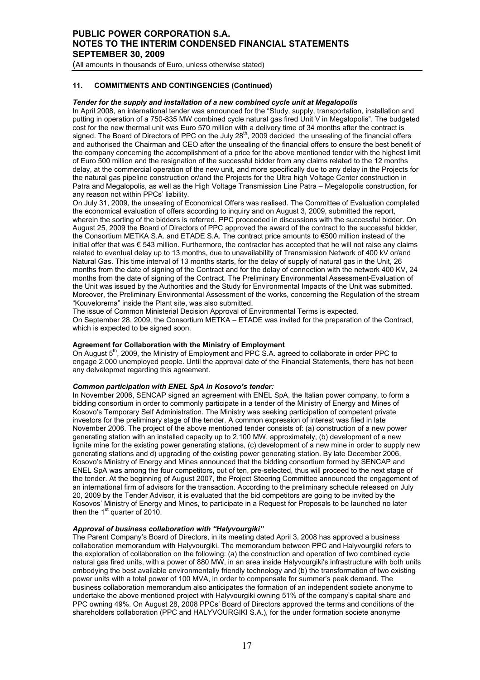(All amounts in thousands of Euro, unless otherwise stated)

### **11. COMMITMENTS AND CONTINGENCIES (Continued)**

### *Tender for the supply and installation of a new combined cycle unit at Megalopolis*

In April 2008, an international tender was announced for the "Study, supply, transportation, installation and putting in operation of a 750-835 MW combined cycle natural gas fired Unit V in Megalopolis". The budgeted cost for the new thermal unit was Euro 570 million with a delivery time of 34 months after the contract is signed. The Board of Directors of PPC on the July 28<sup>th</sup>, 2009 decided the unsealing of the financial offers and authorised the Chairman and CEO after the unsealing of the financial offers to ensure the best benefit of the company concerning the accomplishment of a price for the above mentioned tender with the highest limit of Euro 500 million and the resignation of the successful bidder from any claims related to the 12 months delay, at the commercial operation of the new unit, and more specifically due to any delay in the Projects for the natural gas pipeline construction or/and the Projects for the Ultra high Voltage Center construction in Patra and Megalopolis, as well as the High Voltage Transmission Line Patra – Megalopolis construction, for any reason not within PPCs' liability.

On July 31, 2009, the unsealing of Economical Offers was realised. Τhe Committee of Evaluation completed the economical evaluation of offers according to inquiry and on August 3, 2009, submitted the report, wherein the sorting of the bidders is referred. PPC proceeded in discussions with the successful bidder. On August 25, 2009 the Board of Directors of PPC approved the award of the contract to the successful bidder, the Consortium METKA S.A. and ETADE S.A. The contract price amounts to €500 million instead of the initial offer that was € 543 million. Furthermore, the contractor has accepted that he will not raise any claims related to eventual delay up to 13 months, due to unavailability of Transmission Network of 400 kV or/and Natural Gas. This time interval of 13 months starts, for the delay of supply of natural gas in the Unit, 26 months from the date of signing of the Contract and for the delay of connection with the network 400 KV, 24 months from the date of signing of the Contract. The Preliminary Environmental Assessment-Evaluation of the Unit was issued by the Authorities and the Study for Environmental Impacts of the Unit was submitted. Moreover, the Preliminary Environmental Assessment of the works, concerning the Regulation of the stream "Kouvelorema" inside the Plant site, was also submitted.

Τhe issue of Common Ministerial Decision Approval of Environmental Terms is expected. On September 28, 2009, the Consortium METKA – ETADE was invited for the preparation of the Contract, which is expected to be signed soon.

### **Agreement for Collaboration with the Ministry of Employment**

On August 5<sup>th</sup>, 2009, the Ministry of Employment and PPC S.A. agreed to collaborate in order PPC to engage 2.000 unemployed people. Until the approval date of the Financial Statements, there has not been any delvelopmet regarding this agreement.

# *Common participation with ENEL SpA in Kosovo's tender:*

In November 2006, SENCAP signed an agreement with ENEL SpA, the Italian power company, to form a bidding consortium in order to commonly participate in a tender of the Ministry of Energy and Mines of Kosovo's Temporary Self Administration. The Ministry was seeking participation of competent private investors for the preliminary stage of the tender. A common expression of interest was filed in late November 2006. The project of the above mentioned tender consists of: (a) construction of a new power generating station with an installed capacity up to 2,100 MW, approximately, (b) development of a new lignite mine for the existing power generating stations, (c) development of a new mine in order to supply new generating stations and d) upgrading of the existing power generating station. By late December 2006, Kosovo's Ministry of Energy and Mines announced that the bidding consortium formed by SENCAP and ENEL SpA was among the four competitors, out of ten, pre-selected, thus will proceed to the next stage of the tender. At the beginning of August 2007, the Project Steering Committee announced the engagement of an international firm of advisors for the transaction. According to the preliminary schedule released on July 20, 2009 by the Tender Advisor, it is evaluated that the bid competitors are going to be invited by the Kosovos' Ministry of Energy and Mines, to participate in a Request for Proposals to be launched no later then the 1<sup>st</sup> quarter of 2010.

### *Approval of business collaboration with "Halyvourgiki"*

The Parent Company's Board of Directors, in its meeting dated April 3, 2008 has approved a business collaboration memorandum with Halyvourgiki. The memorandum between PPC and Halyvourgiki refers to the exploration of collaboration on the following: (a) the construction and operation of two combined cycle natural gas fired units, with a power of 880 MW, in an area inside Halyvourgiki's infrastructure with both units embodying the best available environmentally friendly technology and (b) the transformation of two existing power units with a total power of 100 MVA, in order to compensate for summer's peak demand. The business collaboration memorandum also anticipates the formation of an independent societe anonyme to undertake the above mentioned project with Halyvourgiki owning 51% of the company's capital share and PPC owning 49%. On August 28, 2008 PPCs' Board of Directors approved the terms and conditions of the shareholders collaboration (PPC and HALYVOURGIKI S.A.), for the under formation societe anonyme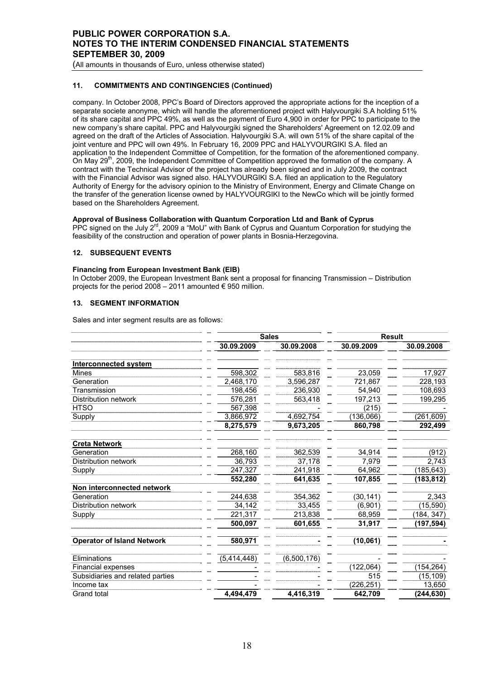(All amounts in thousands of Euro, unless otherwise stated)

# **11. COMMITMENTS AND CONTINGENCIES (Continued)**

company. In October 2008, PPC's Board of Directors approved the appropriate actions for the inception of a separate societe anonyme, which will handle the aforementioned project with Halyvourgiki S.A holding 51% of its share capital and PPC 49%, as well as the payment of Euro 4,900 in order for PPC to participate to the new company's share capital. PPC and Halyvourgiki signed the Shareholders' Agreement on 12.02.09 and agreed on the draft of the Articles of Association. Halyvourgiki S.A. will own 51% of the share capital of the joint venture and PPC will own 49%. In February 16, 2009 PPC and HALYVOURGIKI S.A. filed an application to the Independent Committee of Competition, for the formation of the aforementioned company. On May  $29<sup>th</sup>$ , 2009, the Independent Committee of Competition approved the formation of the company. A contract with the Technical Advisor of the project has already been signed and in July 2009, the contract with the Financial Advisor was signed also. HALYVOURGIKI S.A. filed an application to the Regulatory Authority of Energy for the advisory opinion to the Ministry of Environment, Energy and Climate Change on the transfer of the generation license owned by HALYVOURGIKI to the NewCo which will be jointly formed based on the Shareholders Agreement.

### **Approval of Business Collaboration with Quantum Corporation Ltd and Bank of Cyprus**

PPC signed on the July 2<sup>rd</sup>, 2009 a "MoU" with Bank of Cyprus and Quantum Corporation for studying the feasibility of the construction and operation of power plants in Bosnia-Herzegovina.

## **12. SUBSEQUENT EVENTS**

### **Financing from European Investment Bank (EIB)**

In October 2009, the European Investment Bank sent a proposal for financing Transmission – Distribution projects for the period 2008 – 2011 amounted  $\epsilon$  950 million.

### **13. SEGMENT INFORMATION**

Sales and inter segment results are as follows:

|                                   |             | <b>Sales</b> | <b>Result</b> |            |
|-----------------------------------|-------------|--------------|---------------|------------|
|                                   | 30.09.2009  | 30.09.2008   | 30.09.2009    | 30.09.2008 |
| <b>Interconnected system</b>      |             |              |               |            |
| <b>Mines</b>                      | 598,302     | 583,816      | 23,059        | 17,927     |
| Generation                        | 2,468,170   | 3,596,287    | 721,867       | 228,193    |
| Transmission                      | 198,456     | 236,930      | 54,940        | 108,693    |
| Distribution network              | 576,281     | 563,418      | 197,213       | 199,295    |
| <b>HTSO</b>                       | 567,398     |              | (215)         |            |
| Supply                            | 3,866,972   | 4,692,754    | (136,066)     | (261, 609) |
|                                   | 8,275,579   | 9,673,205    | 860,798       | 292,499    |
| <b>Creta Network</b>              |             |              |               |            |
| Generation                        | 268,160     | 362,539      | 34,914        | (912)      |
| Distribution network              | 36,793      | 37,178       | 7,979         | 2,743      |
| Supply                            | 247,327     | 241,918      | 64,962        | (185,643)  |
|                                   | 552,280     | 641,635      | 107,855       | (183,812)  |
| Non interconnected network        |             |              |               |            |
| Generation                        | 244,638     | 354,362      | (30, 141)     | 2,343      |
| Distribution network              | 34,142      | 33,455       | (6,901)       | (15, 590)  |
| Supply                            | 221,317     | 213,838      | 68,959        | (184, 347) |
|                                   | 500,097     | 601,655      | 31,917        | (197,594)  |
| <b>Operator of Island Network</b> | 580,971     |              | (10, 061)     |            |
| Eliminations                      | (5,414,448) | (6,500,176)  |               |            |
| <b>Financial expenses</b>         |             |              | (122, 064)    | (154, 264) |
| Subsidiaries and related parties  |             |              | 515           | (15, 109)  |
| Income tax                        |             |              | (226,251)     | 13,650     |
| Grand total                       | 4,494,479   | 4,416,319    | 642,709       | (244, 630) |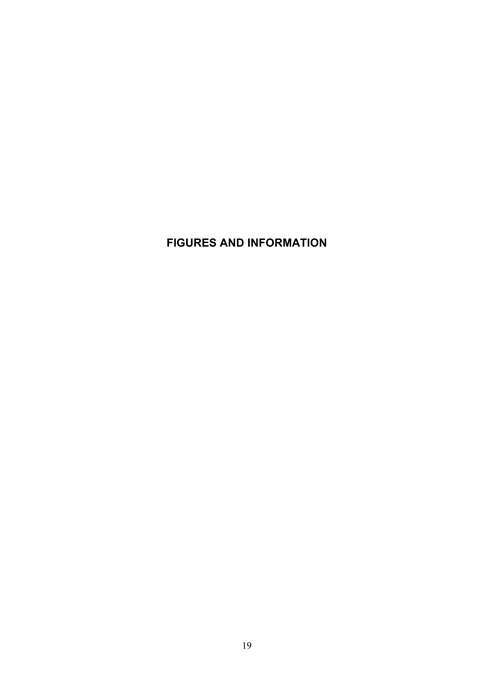# **FIGURES AND INFORMATION**